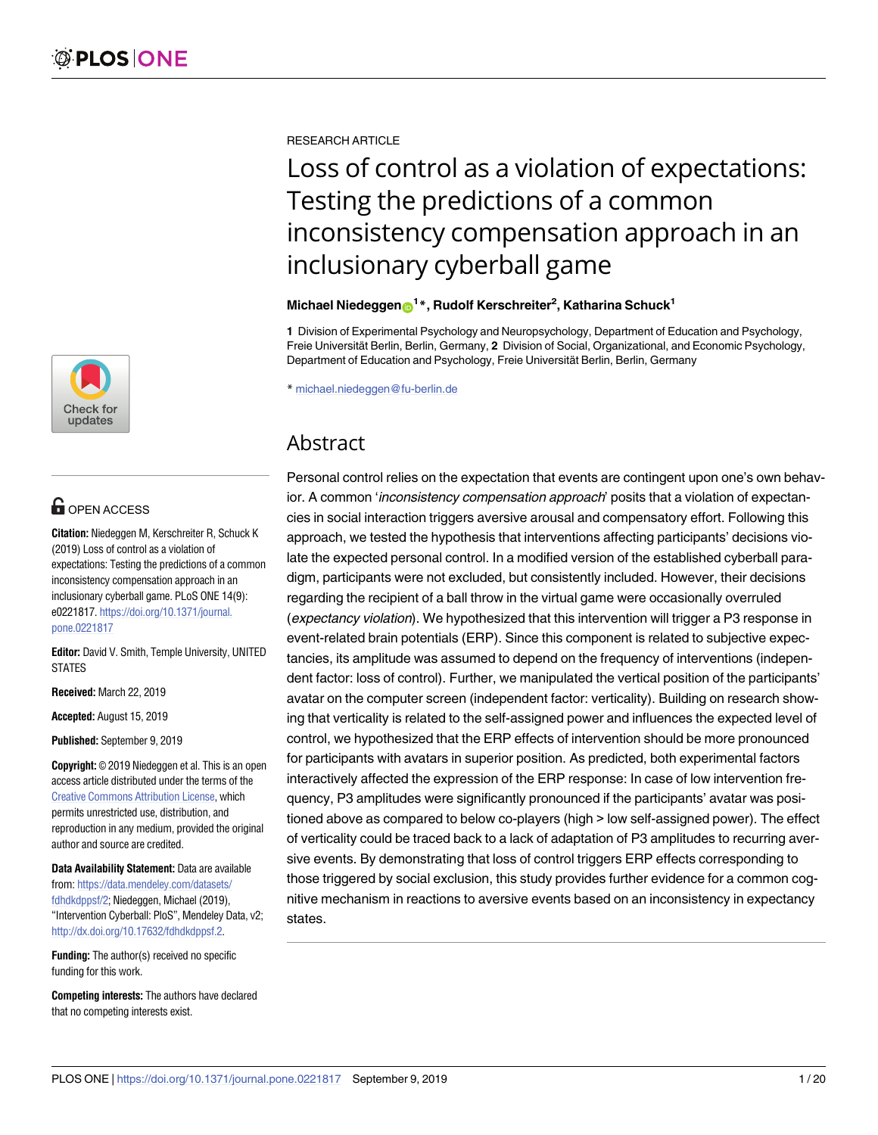

# **OPEN ACCESS**

**Citation:** Niedeggen M, Kerschreiter R, Schuck K (2019) Loss of control as a violation of expectations: Testing the predictions of a common inconsistency compensation approach in an inclusionary cyberball game. PLoS ONE 14(9): e0221817. [https://doi.org/10.1371/journal.](https://doi.org/10.1371/journal.pone.0221817) [pone.0221817](https://doi.org/10.1371/journal.pone.0221817)

**Editor:** David V. Smith, Temple University, UNITED **STATES** 

**Received:** March 22, 2019

**Accepted:** August 15, 2019

**Published:** September 9, 2019

**Copyright:** © 2019 Niedeggen et al. This is an open access article distributed under the terms of the Creative Commons [Attribution](http://creativecommons.org/licenses/by/4.0/) License, which permits unrestricted use, distribution, and reproduction in any medium, provided the original author and source are credited.

**Data Availability Statement:** Data are available from: [https://data.mendeley.com/datasets/](https://data.mendeley.com/datasets/fdhdkdppsf/2) [fdhdkdppsf/2](https://data.mendeley.com/datasets/fdhdkdppsf/2); Niedeggen, Michael (2019), "Intervention Cyberball: PloS", Mendeley Data, v2; [http://dx.doi.org/10.17632/fdhdkdppsf.2.](http://dx.doi.org/10.17632/fdhdkdppsf.2)

**Funding:** The author(s) received no specific funding for this work.

**Competing interests:** The authors have declared that no competing interests exist.

RESEARCH ARTICLE

# Loss of control as a violation of expectations: Testing the predictions of a common inconsistency compensation approach in an inclusionary cyberball game

## $M$ ichael Niedeggen $\mathbf{D}^{1\,*}$ , Rudolf Kerschreiter<sup>2</sup>, Katharina Schuck $^{1}$

**1** Division of Experimental Psychology and Neuropsychology, Department of Education and Psychology, Freie Universität Berlin, Berlin, Germany, 2 Division of Social, Organizational, and Economic Psychology, Department of Education and Psychology, Freie Universität Berlin, Berlin, Germany

\* michael.niedeggen@fu-berlin.de

# Abstract

Personal control relies on the expectation that events are contingent upon one's own behavior. A common 'inconsistency compensation approach' posits that a violation of expectancies in social interaction triggers aversive arousal and compensatory effort. Following this approach, we tested the hypothesis that interventions affecting participants' decisions violate the expected personal control. In a modified version of the established cyberball paradigm, participants were not excluded, but consistently included. However, their decisions regarding the recipient of a ball throw in the virtual game were occasionally overruled (expectancy violation). We hypothesized that this intervention will trigger a P3 response in event-related brain potentials (ERP). Since this component is related to subjective expectancies, its amplitude was assumed to depend on the frequency of interventions (independent factor: loss of control). Further, we manipulated the vertical position of the participants' avatar on the computer screen (independent factor: verticality). Building on research showing that verticality is related to the self-assigned power and influences the expected level of control, we hypothesized that the ERP effects of intervention should be more pronounced for participants with avatars in superior position. As predicted, both experimental factors interactively affected the expression of the ERP response: In case of low intervention frequency, P3 amplitudes were significantly pronounced if the participants' avatar was positioned above as compared to below co-players (high > low self-assigned power). The effect of verticality could be traced back to a lack of adaptation of P3 amplitudes to recurring aversive events. By demonstrating that loss of control triggers ERP effects corresponding to those triggered by social exclusion, this study provides further evidence for a common cognitive mechanism in reactions to aversive events based on an inconsistency in expectancy states.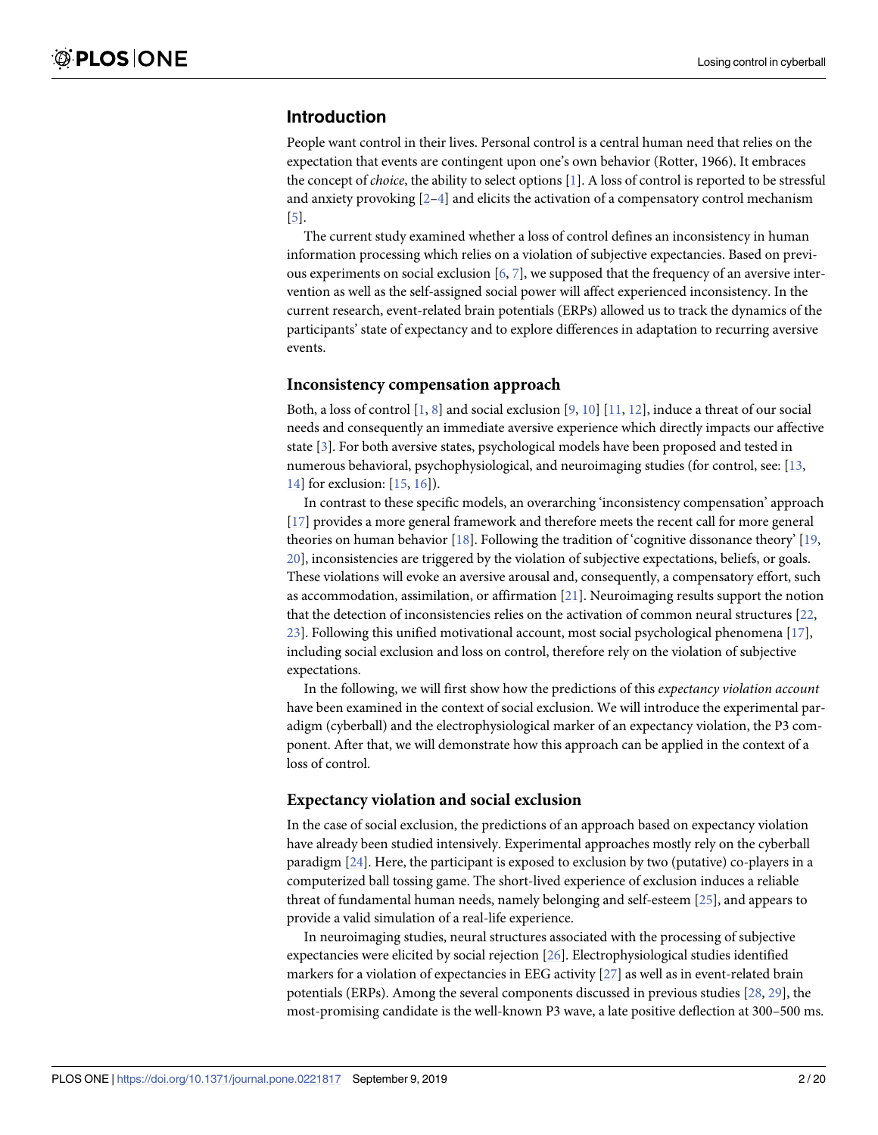# <span id="page-1-0"></span>**Introduction**

People want control in their lives. Personal control is a central human need that relies on the expectation that events are contingent upon one's own behavior (Rotter, 1966). It embraces the concept of *choice*, the ability to select options [[1](#page-16-0)]. A loss of control is reported to be stressful and anxiety provoking  $[2-4]$  and elicits the activation of a compensatory control mechanism [\[5](#page-16-0)].

The current study examined whether a loss of control defines an inconsistency in human information processing which relies on a violation of subjective expectancies. Based on previous experiments on social exclusion [\[6,](#page-16-0) [7](#page-16-0)], we supposed that the frequency of an aversive intervention as well as the self-assigned social power will affect experienced inconsistency. In the current research, event-related brain potentials (ERPs) allowed us to track the dynamics of the participants' state of expectancy and to explore differences in adaptation to recurring aversive events.

#### **Inconsistency compensation approach**

Both, a loss of control  $[1, 8]$  $[1, 8]$  $[1, 8]$  $[1, 8]$  and social exclusion  $[9, 10]$  $[9, 10]$  $[9, 10]$  $[9, 10]$  $[9, 10]$   $[11, 12]$  $[11, 12]$  $[11, 12]$ , induce a threat of our social needs and consequently an immediate aversive experience which directly impacts our affective state [[3\]](#page-16-0). For both aversive states, psychological models have been proposed and tested in numerous behavioral, psychophysiological, and neuroimaging studies (for control, see: [\[13,](#page-16-0) [14\]](#page-16-0) for exclusion: [[15,](#page-17-0) [16](#page-17-0)]).

In contrast to these specific models, an overarching 'inconsistency compensation' approach [\[17\]](#page-17-0) provides a more general framework and therefore meets the recent call for more general theories on human behavior [\[18\]](#page-17-0). Following the tradition of 'cognitive dissonance theory' [[19](#page-17-0), [20\]](#page-17-0), inconsistencies are triggered by the violation of subjective expectations, beliefs, or goals. These violations will evoke an aversive arousal and, consequently, a compensatory effort, such as accommodation, assimilation, or affirmation [\[21\]](#page-17-0). Neuroimaging results support the notion that the detection of inconsistencies relies on the activation of common neural structures [\[22,](#page-17-0) [23\]](#page-17-0). Following this unified motivational account, most social psychological phenomena [[17](#page-17-0)], including social exclusion and loss on control, therefore rely on the violation of subjective expectations.

In the following, we will first show how the predictions of this *expectancy violation account* have been examined in the context of social exclusion. We will introduce the experimental paradigm (cyberball) and the electrophysiological marker of an expectancy violation, the P3 component. After that, we will demonstrate how this approach can be applied in the context of a loss of control.

#### **Expectancy violation and social exclusion**

In the case of social exclusion, the predictions of an approach based on expectancy violation have already been studied intensively. Experimental approaches mostly rely on the cyberball paradigm [[24](#page-17-0)]. Here, the participant is exposed to exclusion by two (putative) co-players in a computerized ball tossing game. The short-lived experience of exclusion induces a reliable threat of fundamental human needs, namely belonging and self-esteem [[25](#page-17-0)], and appears to provide a valid simulation of a real-life experience.

In neuroimaging studies, neural structures associated with the processing of subjective expectancies were elicited by social rejection [[26](#page-17-0)]. Electrophysiological studies identified markers for a violation of expectancies in EEG activity [\[27\]](#page-17-0) as well as in event-related brain potentials (ERPs). Among the several components discussed in previous studies [[28](#page-17-0), [29](#page-17-0)], the most-promising candidate is the well-known P3 wave, a late positive deflection at 300–500 ms.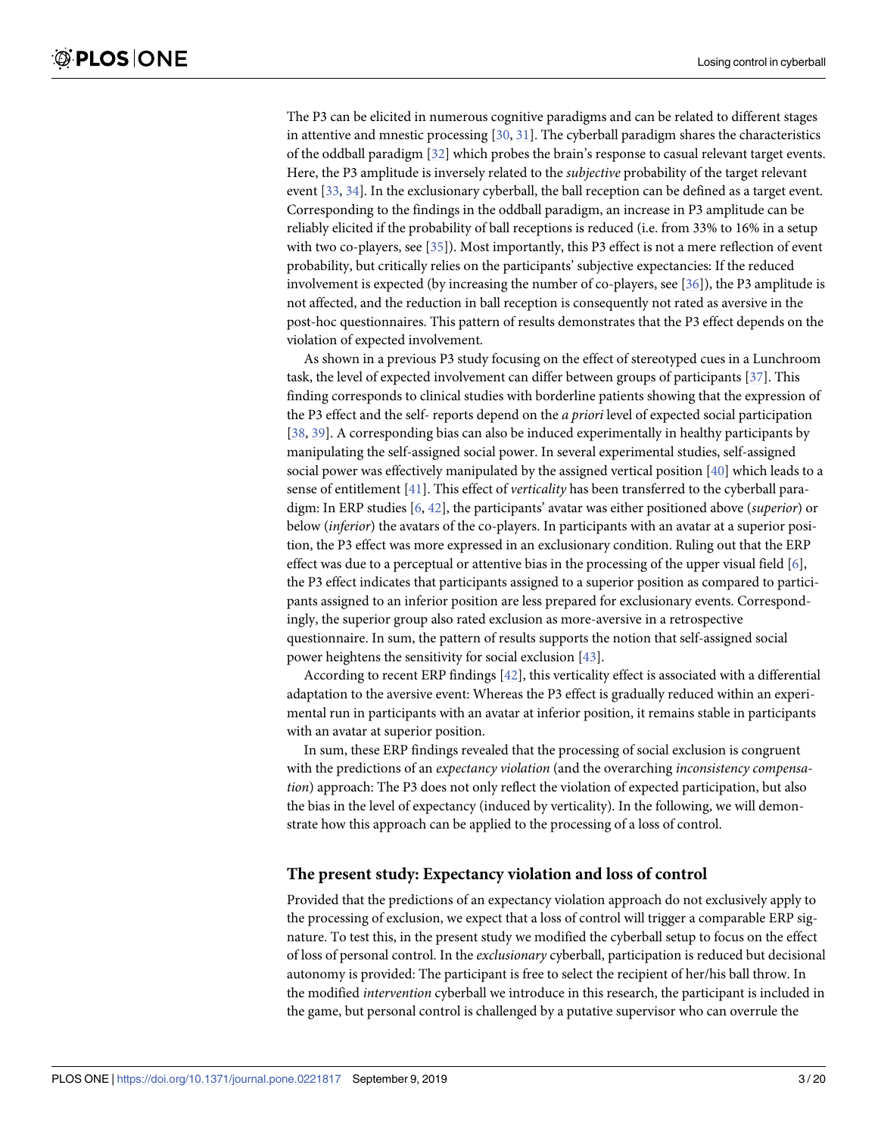<span id="page-2-0"></span>The P3 can be elicited in numerous cognitive paradigms and can be related to different stages in attentive and mnestic processing  $[30, 31]$  $[30, 31]$  $[30, 31]$  $[30, 31]$ . The cyberball paradigm shares the characteristics of the oddball paradigm [[32](#page-17-0)] which probes the brain's response to casual relevant target events. Here, the P3 amplitude is inversely related to the *subjective* probability of the target relevant event [\[33,](#page-17-0) [34\]](#page-17-0). In the exclusionary cyberball, the ball reception can be defined as a target event. Corresponding to the findings in the oddball paradigm, an increase in P3 amplitude can be reliably elicited if the probability of ball receptions is reduced (i.e. from 33% to 16% in a setup with two co-players, see [\[35\]](#page-17-0)). Most importantly, this P3 effect is not a mere reflection of event probability, but critically relies on the participants' subjective expectancies: If the reduced involvement is expected (by increasing the number of co-players, see [\[36\]](#page-18-0)), the P3 amplitude is not affected, and the reduction in ball reception is consequently not rated as aversive in the post-hoc questionnaires. This pattern of results demonstrates that the P3 effect depends on the violation of expected involvement.

As shown in a previous P3 study focusing on the effect of stereotyped cues in a Lunchroom task, the level of expected involvement can differ between groups of participants [[37](#page-18-0)]. This finding corresponds to clinical studies with borderline patients showing that the expression of the P3 effect and the self- reports depend on the *a priori* level of expected social participation [\[38,](#page-18-0) [39\]](#page-18-0). A corresponding bias can also be induced experimentally in healthy participants by manipulating the self-assigned social power. In several experimental studies, self-assigned social power was effectively manipulated by the assigned vertical position [[40](#page-18-0)] which leads to a sense of entitlement [\[41\]](#page-18-0). This effect of *verticality* has been transferred to the cyberball paradigm: In ERP studies [\[6](#page-16-0), [42\]](#page-18-0), the participants' avatar was either positioned above (*superior*) or below (*inferior*) the avatars of the co-players. In participants with an avatar at a superior position, the P3 effect was more expressed in an exclusionary condition. Ruling out that the ERP effect was due to a perceptual or attentive bias in the processing of the upper visual field  $[6]$  $[6]$  $[6]$ , the P3 effect indicates that participants assigned to a superior position as compared to participants assigned to an inferior position are less prepared for exclusionary events. Correspondingly, the superior group also rated exclusion as more-aversive in a retrospective questionnaire. In sum, the pattern of results supports the notion that self-assigned social power heightens the sensitivity for social exclusion [\[43](#page-18-0)].

According to recent ERP findings [[42](#page-18-0)], this verticality effect is associated with a differential adaptation to the aversive event: Whereas the P3 effect is gradually reduced within an experimental run in participants with an avatar at inferior position, it remains stable in participants with an avatar at superior position.

In sum, these ERP findings revealed that the processing of social exclusion is congruent with the predictions of an *expectancy violation* (and the overarching *inconsistency compensation*) approach: The P3 does not only reflect the violation of expected participation, but also the bias in the level of expectancy (induced by verticality). In the following, we will demonstrate how this approach can be applied to the processing of a loss of control.

#### **The present study: Expectancy violation and loss of control**

Provided that the predictions of an expectancy violation approach do not exclusively apply to the processing of exclusion, we expect that a loss of control will trigger a comparable ERP signature. To test this, in the present study we modified the cyberball setup to focus on the effect of loss of personal control. In the *exclusionary* cyberball, participation is reduced but decisional autonomy is provided: The participant is free to select the recipient of her/his ball throw. In the modified *intervention* cyberball we introduce in this research, the participant is included in the game, but personal control is challenged by a putative supervisor who can overrule the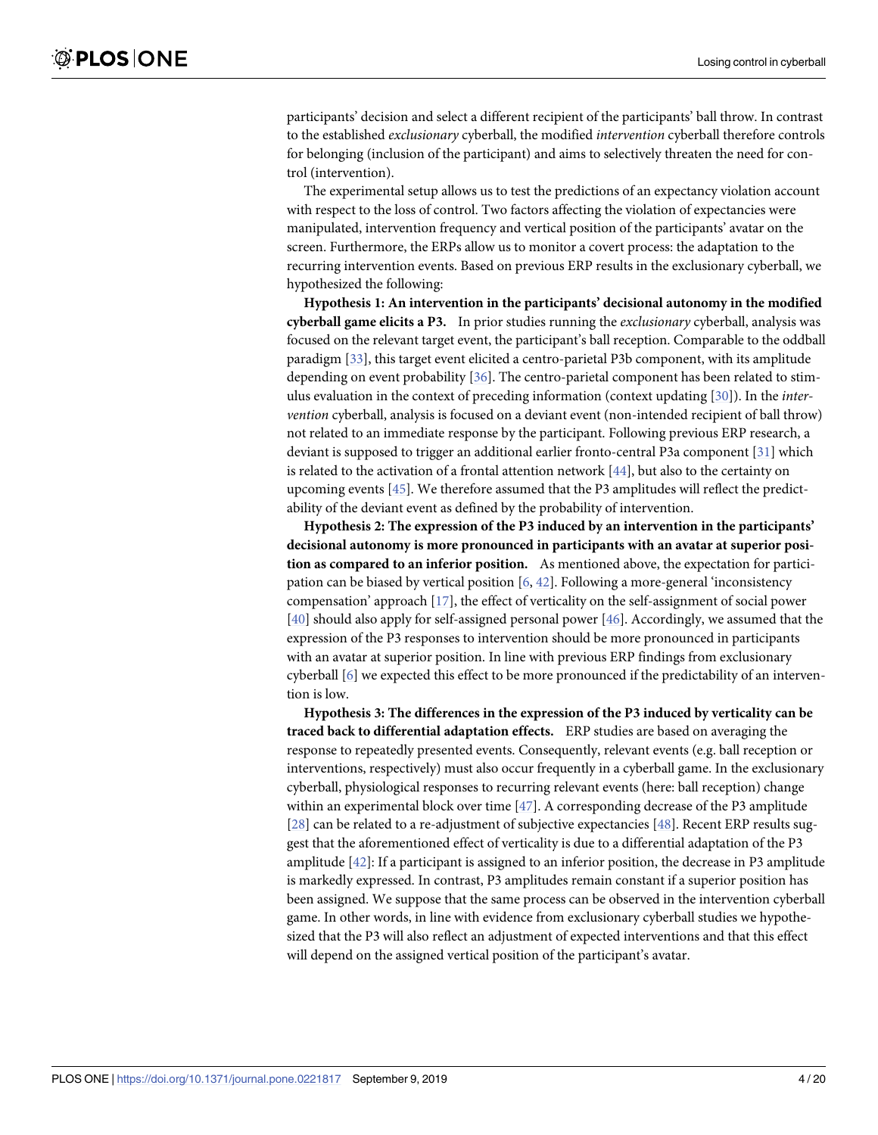<span id="page-3-0"></span>participants' decision and select a different recipient of the participants' ball throw. In contrast to the established *exclusionary* cyberball, the modified *intervention* cyberball therefore controls for belonging (inclusion of the participant) and aims to selectively threaten the need for control (intervention).

The experimental setup allows us to test the predictions of an expectancy violation account with respect to the loss of control. Two factors affecting the violation of expectancies were manipulated, intervention frequency and vertical position of the participants' avatar on the screen. Furthermore, the ERPs allow us to monitor a covert process: the adaptation to the recurring intervention events. Based on previous ERP results in the exclusionary cyberball, we hypothesized the following:

**Hypothesis 1: An intervention in the participants' decisional autonomy in the modified cyberball game elicits a P3.** In prior studies running the *exclusionary* cyberball, analysis was focused on the relevant target event, the participant's ball reception. Comparable to the oddball paradigm [[33](#page-17-0)], this target event elicited a centro-parietal P3b component, with its amplitude depending on event probability [[36](#page-18-0)]. The centro-parietal component has been related to stimulus evaluation in the context of preceding information (context updating [[30](#page-17-0)]). In the *intervention* cyberball, analysis is focused on a deviant event (non-intended recipient of ball throw) not related to an immediate response by the participant. Following previous ERP research, a deviant is supposed to trigger an additional earlier fronto-central P3a component [\[31\]](#page-17-0) which is related to the activation of a frontal attention network  $[44]$  $[44]$  $[44]$ , but also to the certainty on upcoming events [[45](#page-18-0)]. We therefore assumed that the P3 amplitudes will reflect the predictability of the deviant event as defined by the probability of intervention.

**Hypothesis 2: The expression of the P3 induced by an intervention in the participants' decisional autonomy is more pronounced in participants with an avatar at superior position as compared to an inferior position.** As mentioned above, the expectation for participation can be biased by vertical position [[6](#page-16-0), [42](#page-18-0)]. Following a more-general 'inconsistency compensation' approach [[17](#page-17-0)], the effect of verticality on the self-assignment of social power [\[40\]](#page-18-0) should also apply for self-assigned personal power [[46](#page-18-0)]. Accordingly, we assumed that the expression of the P3 responses to intervention should be more pronounced in participants with an avatar at superior position. In line with previous ERP findings from exclusionary cyberball [[6\]](#page-16-0) we expected this effect to be more pronounced if the predictability of an intervention is low.

**Hypothesis 3: The differences in the expression of the P3 induced by verticality can be traced back to differential adaptation effects.** ERP studies are based on averaging the response to repeatedly presented events. Consequently, relevant events (e.g. ball reception or interventions, respectively) must also occur frequently in a cyberball game. In the exclusionary cyberball, physiological responses to recurring relevant events (here: ball reception) change within an experimental block over time [\[47\]](#page-18-0). A corresponding decrease of the P3 amplitude [\[28\]](#page-17-0) can be related to a re-adjustment of subjective expectancies [[48](#page-18-0)]. Recent ERP results suggest that the aforementioned effect of verticality is due to a differential adaptation of the P3 amplitude [\[42\]](#page-18-0): If a participant is assigned to an inferior position, the decrease in P3 amplitude is markedly expressed. In contrast, P3 amplitudes remain constant if a superior position has been assigned. We suppose that the same process can be observed in the intervention cyberball game. In other words, in line with evidence from exclusionary cyberball studies we hypothesized that the P3 will also reflect an adjustment of expected interventions and that this effect will depend on the assigned vertical position of the participant's avatar.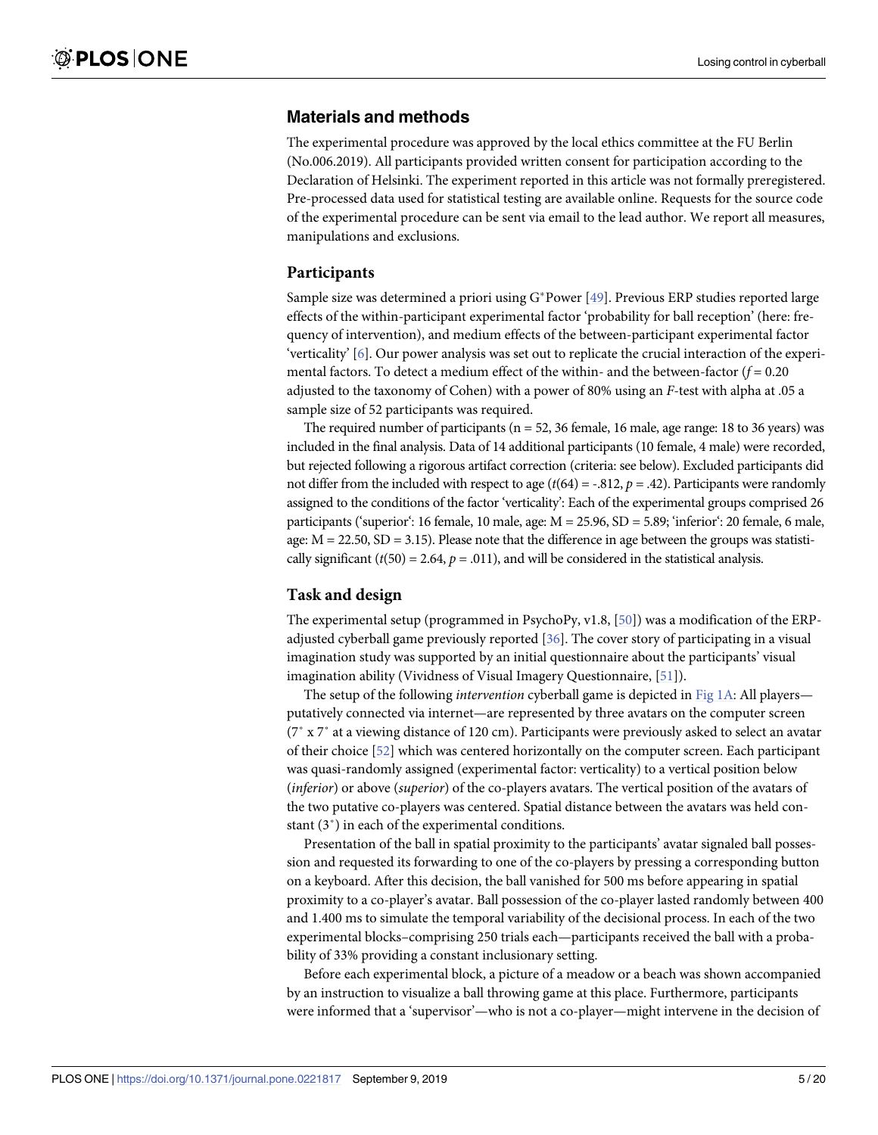## <span id="page-4-0"></span>**Materials and methods**

The experimental procedure was approved by the local ethics committee at the FU Berlin (No.006.2019). All participants provided written consent for participation according to the Declaration of Helsinki. The experiment reported in this article was not formally preregistered. Pre-processed data used for statistical testing are available online. Requests for the source code of the experimental procedure can be sent via email to the lead author. We report all measures, manipulations and exclusions.

#### **Participants**

Sample size was determined a priori using  $G^*$  Power [[49](#page-18-0)]. Previous ERP studies reported large effects of the within-participant experimental factor 'probability for ball reception' (here: frequency of intervention), and medium effects of the between-participant experimental factor 'verticality' [\[6](#page-16-0)]. Our power analysis was set out to replicate the crucial interaction of the experimental factors. To detect a medium effect of the within- and the between-factor (*f* = 0.20 adjusted to the taxonomy of Cohen) with a power of 80% using an *F*-test with alpha at .05 a sample size of 52 participants was required.

The required number of participants ( $n = 52$ , 36 female, 16 male, age range: 18 to 36 years) was included in the final analysis. Data of 14 additional participants (10 female, 4 male) were recorded, but rejected following a rigorous artifact correction (criteria: see below). Excluded participants did not differ from the included with respect to age  $(t(64) = -.812, p = .42)$ . Participants were randomly assigned to the conditions of the factor 'verticality': Each of the experimental groups comprised 26 participants ('superior': 16 female, 10 male, age: M = 25.96, SD = 5.89; 'inferior': 20 female, 6 male, age:  $M = 22.50$ ,  $SD = 3.15$ ). Please note that the difference in age between the groups was statistically significant  $(t(50) = 2.64, p = .011)$ , and will be considered in the statistical analysis.

## **Task and design**

The experimental setup (programmed in PsychoPy, v1.8, [\[50\]](#page-18-0)) was a modification of the ERPadjusted cyberball game previously reported [\[36\]](#page-18-0). The cover story of participating in a visual imagination study was supported by an initial questionnaire about the participants' visual imagination ability (Vividness of Visual Imagery Questionnaire, [\[51\]](#page-18-0)).

The setup of the following *intervention* cyberball game is depicted in [Fig](#page-5-0) 1A: All players putatively connected via internet—are represented by three avatars on the computer screen (7˚ x 7˚ at a viewing distance of 120 cm). Participants were previously asked to select an avatar of their choice [[52](#page-18-0)] which was centered horizontally on the computer screen. Each participant was quasi-randomly assigned (experimental factor: verticality) to a vertical position below (*inferior*) or above (*superior*) of the co-players avatars. The vertical position of the avatars of the two putative co-players was centered. Spatial distance between the avatars was held constant (3˚) in each of the experimental conditions.

Presentation of the ball in spatial proximity to the participants' avatar signaled ball possession and requested its forwarding to one of the co-players by pressing a corresponding button on a keyboard. After this decision, the ball vanished for 500 ms before appearing in spatial proximity to a co-player's avatar. Ball possession of the co-player lasted randomly between 400 and 1.400 ms to simulate the temporal variability of the decisional process. In each of the two experimental blocks–comprising 250 trials each—participants received the ball with a probability of 33% providing a constant inclusionary setting.

Before each experimental block, a picture of a meadow or a beach was shown accompanied by an instruction to visualize a ball throwing game at this place. Furthermore, participants were informed that a 'supervisor'—who is not a co-player—might intervene in the decision of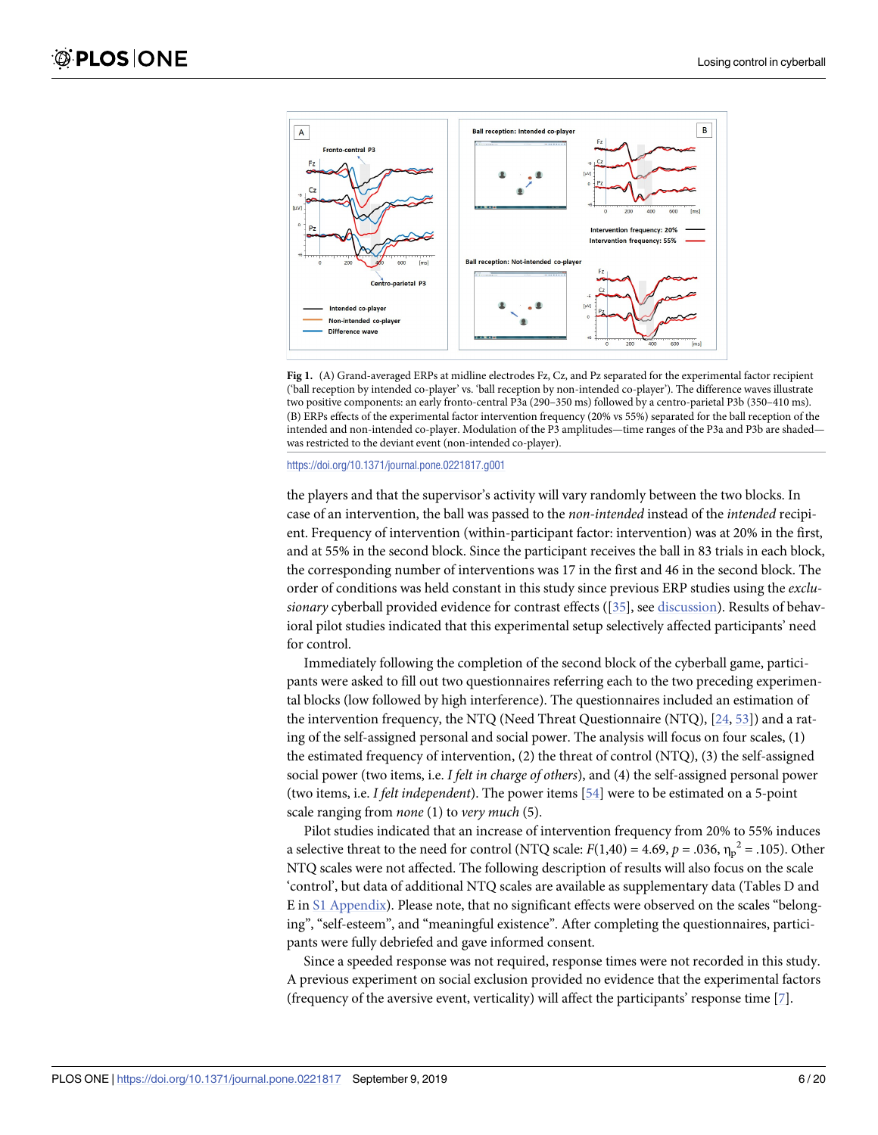<span id="page-5-0"></span>

**[Fig](#page-4-0) 1.** (A) Grand-averaged ERPs at midline electrodes Fz, Cz, and Pz separated for the experimental factor recipient ('ball reception by intended co-player' vs. 'ball reception by non-intended co-player'). The difference waves illustrate two positive components: an early fronto-central P3a (290–350 ms) followed by a centro-parietal P3b (350–410 ms). (B) ERPs effects of the experimental factor intervention frequency (20% vs 55%) separated for the ball reception of the intended and non-intended co-player. Modulation of the P3 amplitudes—time ranges of the P3a and P3b are shaded was restricted to the deviant event (non-intended co-player).

<https://doi.org/10.1371/journal.pone.0221817.g001>

the players and that the supervisor's activity will vary randomly between the two blocks. In case of an intervention, the ball was passed to the *non-intended* instead of the *intended* recipient. Frequency of intervention (within-participant factor: intervention) was at 20% in the first, and at 55% in the second block. Since the participant receives the ball in 83 trials in each block, the corresponding number of interventions was 17 in the first and 46 in the second block. The order of conditions was held constant in this study since previous ERP studies using the *exclusionary* cyberball provided evidence for contrast effects ([\[35\]](#page-17-0), see [discussion](#page-12-0)). Results of behavioral pilot studies indicated that this experimental setup selectively affected participants' need for control.

Immediately following the completion of the second block of the cyberball game, participants were asked to fill out two questionnaires referring each to the two preceding experimental blocks (low followed by high interference). The questionnaires included an estimation of the intervention frequency, the NTQ (Need Threat Questionnaire (NTQ), [\[24,](#page-17-0) [53\]](#page-18-0)) and a rating of the self-assigned personal and social power. The analysis will focus on four scales, (1) the estimated frequency of intervention, (2) the threat of control (NTQ), (3) the self-assigned social power (two items, i.e. *I felt in charge of others*), and (4) the self-assigned personal power (two items, i.e. *I felt independent*). The power items [[54](#page-18-0)] were to be estimated on a 5-point scale ranging from *none* (1) to *very much* (5).

Pilot studies indicated that an increase of intervention frequency from 20% to 55% induces a selective threat to the need for control (NTQ scale:  $F(1,40) = 4.69$ ,  $p = .036$ ,  $\eta_p^2 = .105$ ). Other NTQ scales were not affected. The following description of results will also focus on the scale 'control', but data of additional NTQ scales are available as supplementary data (Tables D and E in S1 [Appendix](#page-15-0)). Please note, that no significant effects were observed on the scales "belonging", "self-esteem", and "meaningful existence". After completing the questionnaires, participants were fully debriefed and gave informed consent.

Since a speeded response was not required, response times were not recorded in this study. A previous experiment on social exclusion provided no evidence that the experimental factors (frequency of the aversive event, verticality) will affect the participants' response time [\[7\]](#page-16-0).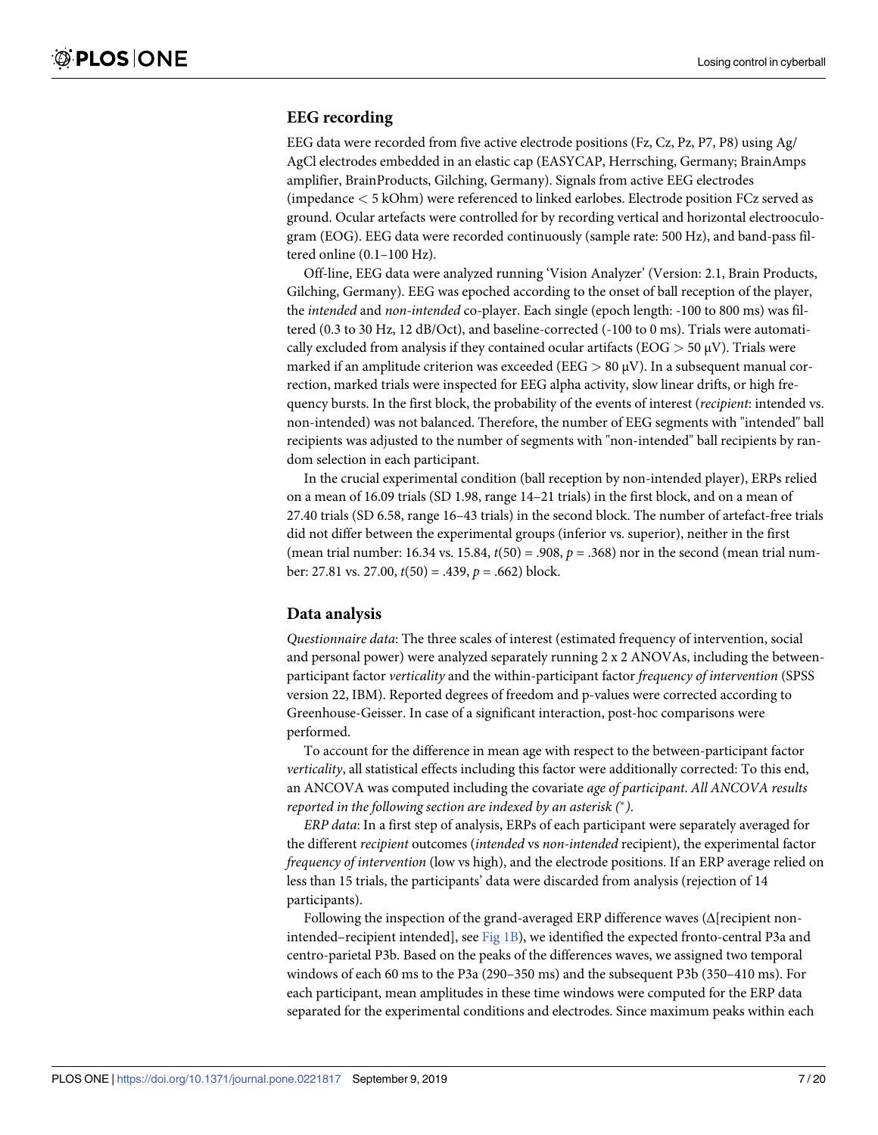#### **EEG recording**

EEG data were recorded from five active electrode positions (Fz, Cz, Pz, P7, P8) using Ag/ AgCl electrodes embedded in an elastic cap (EASYCAP, Herrsching, Germany; BrainAmps amplifier, BrainProducts, Gilching, Germany). Signals from active EEG electrodes (impedance *<* 5 kOhm) were referenced to linked earlobes. Electrode position FCz served as ground. Ocular artefacts were controlled for by recording vertical and horizontal electrooculogram (EOG). EEG data were recorded continuously (sample rate: 500 Hz), and band-pass filtered online (0.1–100 Hz).

Off-line, EEG data were analyzed running 'Vision Analyzer' (Version: 2.1, Brain Products, Gilching, Germany). EEG was epoched according to the onset of ball reception of the player, the *intended* and *non-intended* co-player. Each single (epoch length: -100 to 800 ms) was filtered (0.3 to 30 Hz, 12 dB/Oct), and baseline-corrected (-100 to 0 ms). Trials were automatically excluded from analysis if they contained ocular artifacts (EOG *>* 50 μV). Trials were marked if an amplitude criterion was exceeded (EEG *>* 80 μV). In a subsequent manual correction, marked trials were inspected for EEG alpha activity, slow linear drifts, or high frequency bursts. In the first block, the probability of the events of interest (*recipient*: intended vs. non-intended) was not balanced. Therefore, the number of EEG segments with "intended" ball recipients was adjusted to the number of segments with "non-intended" ball recipients by random selection in each participant.

In the crucial experimental condition (ball reception by non-intended player), ERPs relied on a mean of 16.09 trials (SD 1.98, range 14–21 trials) in the first block, and on a mean of 27.40 trials (SD 6.58, range 16–43 trials) in the second block. The number of artefact-free trials did not differ between the experimental groups (inferior vs. superior), neither in the first (mean trial number: 16.34 vs. 15.84, *t*(50) = .908, *p* = .368) nor in the second (mean trial number: 27.81 vs. 27.00, *t*(50) = .439, *p* = .662) block.

#### **Data analysis**

*Questionnaire data*: The three scales of interest (estimated frequency of intervention, social and personal power) were analyzed separately running 2 x 2 ANOVAs, including the betweenparticipant factor *verticality* and the within-participant factor *frequency of intervention* (SPSS version 22, IBM). Reported degrees of freedom and p-values were corrected according to Greenhouse-Geisser. In case of a significant interaction, post-hoc comparisons were performed.

To account for the difference in mean age with respect to the between-participant factor *verticality*, all statistical effects including this factor were additionally corrected: To this end, an ANCOVA was computed including the covariate *age of participant*. *All ANCOVA results reported in the following section are indexed by an asterisk (* �*)*.

*ERP data*: In a first step of analysis, ERPs of each participant were separately averaged for the different *recipient* outcomes (*intended* vs *non-intended* recipient), the experimental factor *frequency of intervention* (low vs high), and the electrode positions. If an ERP average relied on less than 15 trials, the participants' data were discarded from analysis (rejection of 14 participants).

Following the inspection of the grand-averaged ERP difference waves  $(\Delta$ [recipient nonintended–recipient intended], see [Fig](#page-5-0) 1B), we identified the expected fronto-central P3a and centro-parietal P3b. Based on the peaks of the differences waves, we assigned two temporal windows of each 60 ms to the P3a (290–350 ms) and the subsequent P3b (350–410 ms). For each participant, mean amplitudes in these time windows were computed for the ERP data separated for the experimental conditions and electrodes. Since maximum peaks within each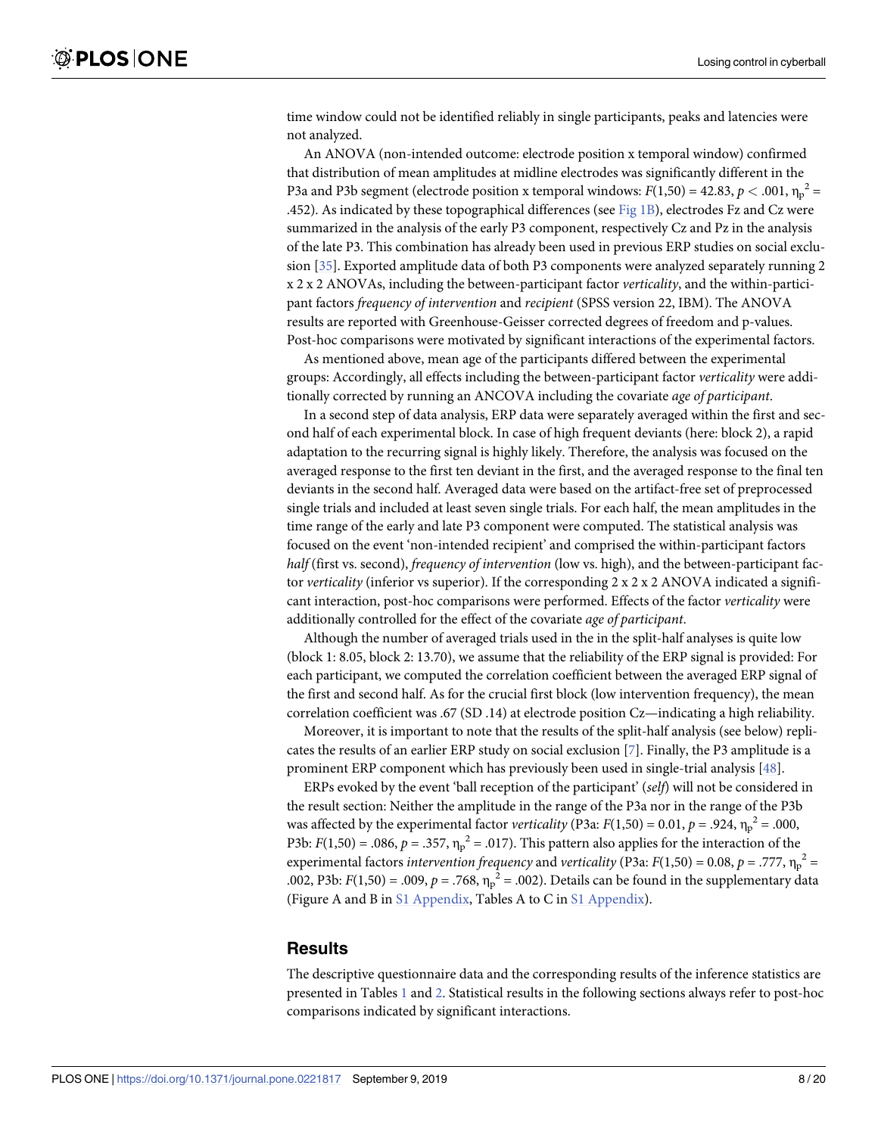<span id="page-7-0"></span>time window could not be identified reliably in single participants, peaks and latencies were not analyzed.

An ANOVA (non-intended outcome: electrode position x temporal window) confirmed that distribution of mean amplitudes at midline electrodes was significantly different in the P3a and P3b segment (electrode position x temporal windows:  $F(1,50) = 42.83$ ,  $p < .001$ ,  $\eta_p^2 =$ .452). As indicated by these topographical differences (see [Fig](#page-5-0) 1B), electrodes Fz and Cz were summarized in the analysis of the early P3 component, respectively Cz and Pz in the analysis of the late P3. This combination has already been used in previous ERP studies on social exclusion [\[35\]](#page-17-0). Exported amplitude data of both P3 components were analyzed separately running 2 x 2 x 2 ANOVAs, including the between-participant factor *verticality*, and the within-participant factors *frequency of intervention* and *recipient* (SPSS version 22, IBM). The ANOVA results are reported with Greenhouse-Geisser corrected degrees of freedom and p-values. Post-hoc comparisons were motivated by significant interactions of the experimental factors.

As mentioned above, mean age of the participants differed between the experimental groups: Accordingly, all effects including the between-participant factor *verticality* were additionally corrected by running an ANCOVA including the covariate *age of participant*.

In a second step of data analysis, ERP data were separately averaged within the first and second half of each experimental block. In case of high frequent deviants (here: block 2), a rapid adaptation to the recurring signal is highly likely. Therefore, the analysis was focused on the averaged response to the first ten deviant in the first, and the averaged response to the final ten deviants in the second half. Averaged data were based on the artifact-free set of preprocessed single trials and included at least seven single trials. For each half, the mean amplitudes in the time range of the early and late P3 component were computed. The statistical analysis was focused on the event 'non-intended recipient' and comprised the within-participant factors *half* (first vs. second), *frequency of intervention* (low vs. high), and the between-participant factor *verticality* (inferior vs superior). If the corresponding 2 x 2 x 2 ANOVA indicated a significant interaction, post-hoc comparisons were performed. Effects of the factor *verticality* were additionally controlled for the effect of the covariate *age of participant*.

Although the number of averaged trials used in the in the split-half analyses is quite low (block 1: 8.05, block 2: 13.70), we assume that the reliability of the ERP signal is provided: For each participant, we computed the correlation coefficient between the averaged ERP signal of the first and second half. As for the crucial first block (low intervention frequency), the mean correlation coefficient was .67 (SD .14) at electrode position Cz—indicating a high reliability.

Moreover, it is important to note that the results of the split-half analysis (see below) replicates the results of an earlier ERP study on social exclusion [\[7](#page-16-0)]. Finally, the P3 amplitude is a prominent ERP component which has previously been used in single-trial analysis [\[48\]](#page-18-0).

ERPs evoked by the event 'ball reception of the participant' (*self*) will not be considered in the result section: Neither the amplitude in the range of the P3a nor in the range of the P3b was affected by the experimental factor *verticality* (P3a:  $F(1,50) = 0.01$ ,  $p = .924$ ,  $\eta_p^2 = .000$ , P3b:  $F(1,50) = .086$ ,  $p = .357$ ,  $\eta_p^2 = .017$ ). This pattern also applies for the interaction of the experimental factors *intervention frequency* and *verticality* (P3a:  $F(1,50) = 0.08$ ,  $p = .777$ ,  $n_p^2 =$ .002, P3b: *F*(1,50) = .009, *p* = .768,  $\eta_p^2$  = .002). Details can be found in the supplementary data (Figure A and B in S1 [Appendix](#page-15-0), Tables A to C in S1 [Appendix\)](#page-15-0).

#### **Results**

The descriptive questionnaire data and the corresponding results of the inference statistics are presented in Tables [1](#page-8-0) and [2.](#page-9-0) Statistical results in the following sections always refer to post-hoc comparisons indicated by significant interactions.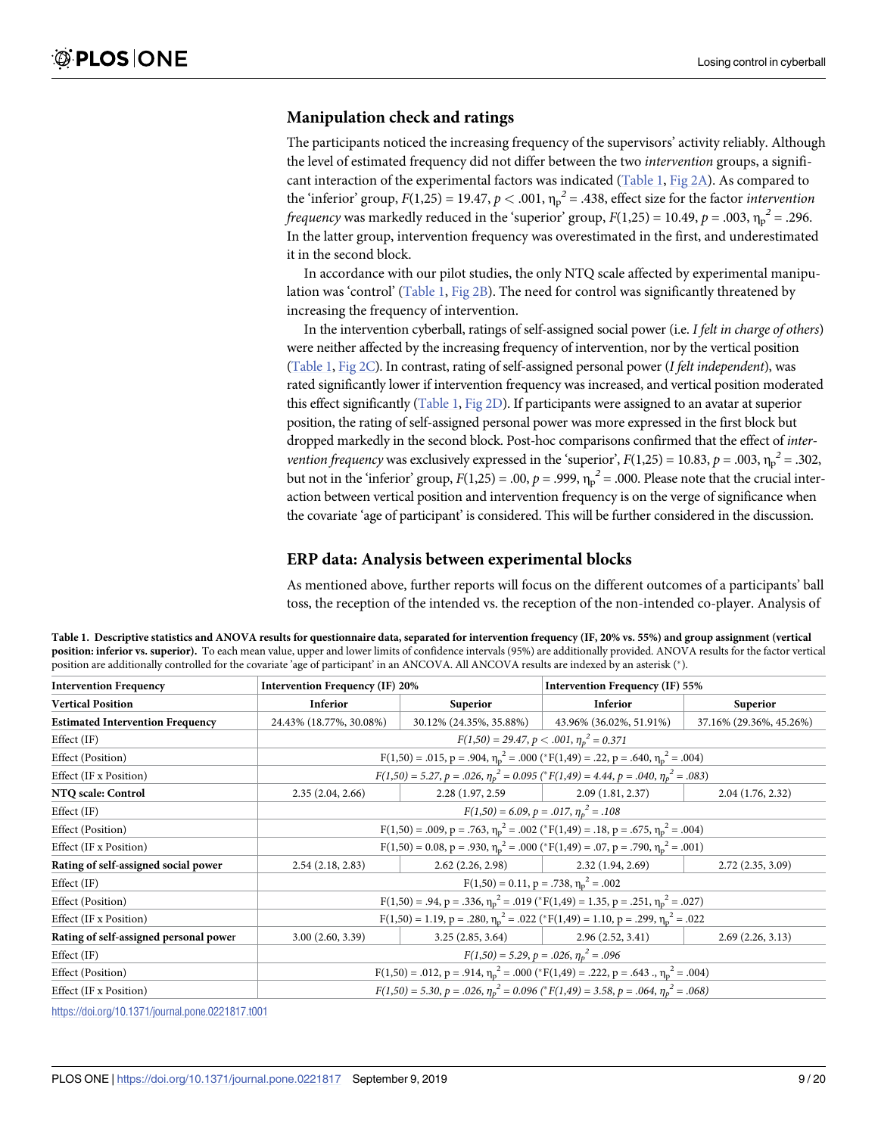#### <span id="page-8-0"></span>**Manipulation check and ratings**

The participants noticed the increasing frequency of the supervisors' activity reliably. Although the level of estimated frequency did not differ between the two *intervention* groups, a significant interaction of the experimental factors was indicated (Table 1, [Fig](#page-10-0) 2A). As compared to the 'inferior' group,  $F(1,25) = 19.47$ ,  $p < .001$ ,  $\eta_p^2 = .438$ , effect size for the factor *intervention frequency* was markedly reduced in the 'superior' group,  $F(1,25) = 10.49$ ,  $p = .003$ ,  $\eta_p^2 = .296$ . In the latter group, intervention frequency was overestimated in the first, and underestimated it in the second block.

In accordance with our pilot studies, the only NTQ scale affected by experimental manipulation was 'control' (Table 1, [Fig](#page-10-0) 2B). The need for control was significantly threatened by increasing the frequency of intervention.

In the intervention cyberball, ratings of self-assigned social power (i.e. *I felt in charge of others*) were neither affected by the increasing frequency of intervention, nor by the vertical position (Table 1, [Fig](#page-10-0) 2C). In contrast, rating of self-assigned personal power (*I felt independent*), was rated significantly lower if intervention frequency was increased, and vertical position moderated this effect significantly (Table 1, [Fig](#page-10-0) 2D). If participants were assigned to an avatar at superior position, the rating of self-assigned personal power was more expressed in the first block but dropped markedly in the second block. Post-hoc comparisons confirmed that the effect of *intervention frequency* was exclusively expressed in the 'superior',  $F(1,25) = 10.83$ ,  $p = .003$ ,  $v_p^2 = .302$ , but not in the 'inferior' group,  $F(1,25) = .00$ ,  $p = .999$ ,  $\eta_p^2 = .000$ . Please note that the crucial interaction between vertical position and intervention frequency is on the verge of significance when the covariate 'age of participant' is considered. This will be further considered in the discussion.

#### **ERP data: Analysis between experimental blocks**

As mentioned above, further reports will focus on the different outcomes of a participants' ball toss, the reception of the intended vs. the reception of the non-intended co-player. Analysis of

| Table 1. Descriptive statistics and ANOVA results for questionnaire data, separated for intervention frequency (IF, 20% vs. 55%) and group assignment (vertical             |
|-----------------------------------------------------------------------------------------------------------------------------------------------------------------------------|
| position: inferior vs. superior). To each mean value, upper and lower limits of confidence intervals (95%) are additionally provided. ANOVA results for the factor vertical |
| position are additionally controlled for the covariate 'age of participant' in an ANCOVA. All ANCOVA results are indexed by an asterisk (*).                                |

| <b>Intervention Frequency</b>                                                        | <b>Intervention Frequency (IF) 20%</b>                                                                    |                                                                                                         | Intervention Frequency (IF) 55% |                         |  |
|--------------------------------------------------------------------------------------|-----------------------------------------------------------------------------------------------------------|---------------------------------------------------------------------------------------------------------|---------------------------------|-------------------------|--|
| <b>Vertical Position</b>                                                             | <b>Inferior</b>                                                                                           | <b>Superior</b>                                                                                         | Inferior                        | <b>Superior</b>         |  |
| <b>Estimated Intervention Frequency</b>                                              | 24.43% (18.77%, 30.08%)                                                                                   | 30.12% (24.35%, 35.88%)                                                                                 | 43.96% (36.02%, 51.91%)         | 37.16% (29.36%, 45.26%) |  |
| Effect (IF)                                                                          |                                                                                                           | $F(1,50) = 29.47, p < .001, \eta_n^2 = 0.371$                                                           |                                 |                         |  |
| Effect (Position)                                                                    |                                                                                                           | $F(1,50) = .015$ , p = .904, $\eta_p^2 = .000$ (* $F(1,49) = .22$ , p = .640, $\eta_p^2 = .004$ )       |                                 |                         |  |
| Effect (IF x Position)                                                               | $F(1,50) = 5.27, p = .026, \eta_p^2 = 0.095$ (* $F(1,49) = 4.44, p = .040, \eta_p^2 = .083$ )             |                                                                                                         |                                 |                         |  |
| NTQ scale: Control                                                                   | 2.35(2.04, 2.66)                                                                                          | 2.28 (1.97, 2.59)                                                                                       | 2.09(1.81, 2.37)                | 2.04(1.76, 2.32)        |  |
| Effect (IF)                                                                          |                                                                                                           | $F(1,50) = 6.09, p = .017, \eta_p^2 = .108$                                                             |                                 |                         |  |
| Effect (Position)                                                                    |                                                                                                           | $F(1,50) = .009$ , $p = .763$ , $\eta_p^2 = .002$ (* $F(1,49) = .18$ , $p = .675$ , $\eta_p^2 = .004$ ) |                                 |                         |  |
| Effect (IF x Position)                                                               |                                                                                                           | $F(1,50) = 0.08$ , $p = .930$ , $\eta_p^2 = .000$ (* $F(1,49) = .07$ , $p = .790$ , $\eta_p^2 = .001$ ) |                                 |                         |  |
| Rating of self-assigned social power                                                 | 2.54(2.18, 2.83)                                                                                          | 2.62(2.26, 2.98)                                                                                        | 2.32(1.94, 2.69)                | 2.72(2.35, 3.09)        |  |
| Effect (IF)                                                                          |                                                                                                           | $F(1,50) = 0.11$ , $p = .738$ , $\eta_p^2 = .002$                                                       |                                 |                         |  |
| Effect (Position)                                                                    |                                                                                                           | $F(1,50) = .94$ , $p = .336$ , $\eta_p^2 = .019$ (* $F(1,49) = 1.35$ , $p = .251$ , $\eta_p^2 = .027$ ) |                                 |                         |  |
| Effect (IF x Position)                                                               | $F(1,50) = 1.19$ , $p = .280$ , $\eta_p^2 = .022$ (* $F(1,49) = 1.10$ , $p = .299$ , $\eta_p^2 = .022$    |                                                                                                         |                                 |                         |  |
| Rating of self-assigned personal power                                               | 3.00(2.60, 3.39)                                                                                          | 3.25(2.85, 3.64)                                                                                        | 2.96(2.52, 3.41)                | 2.69(2.26, 3.13)        |  |
| Effect (IF)                                                                          | $F(1,50) = 5.29, p = .026, \eta_p^2 = .096$                                                               |                                                                                                         |                                 |                         |  |
| Effect (Position)                                                                    | $F(1,50) = .012$ , $p = .914$ , $\eta_p^2 = .000$ (* $F(1,49) = .222$ , $p = .643$ ., $\eta_p^2 = .004$ ) |                                                                                                         |                                 |                         |  |
| Effect (IF x Position)                                                               |                                                                                                           | $F(1,50) = 5.30, p = .026, \eta_p^2 = 0.096$ (* $F(1,49) = 3.58, p = .064, \eta_p^2 = .068$ )           |                                 |                         |  |
| $\mathbf{r}$ . The state of $\mathbf{r}$ is the state of $\mathbf{r}$<br>0.001017100 |                                                                                                           |                                                                                                         |                                 |                         |  |

<https://doi.org/10.1371/journal.pone.0221817.t001>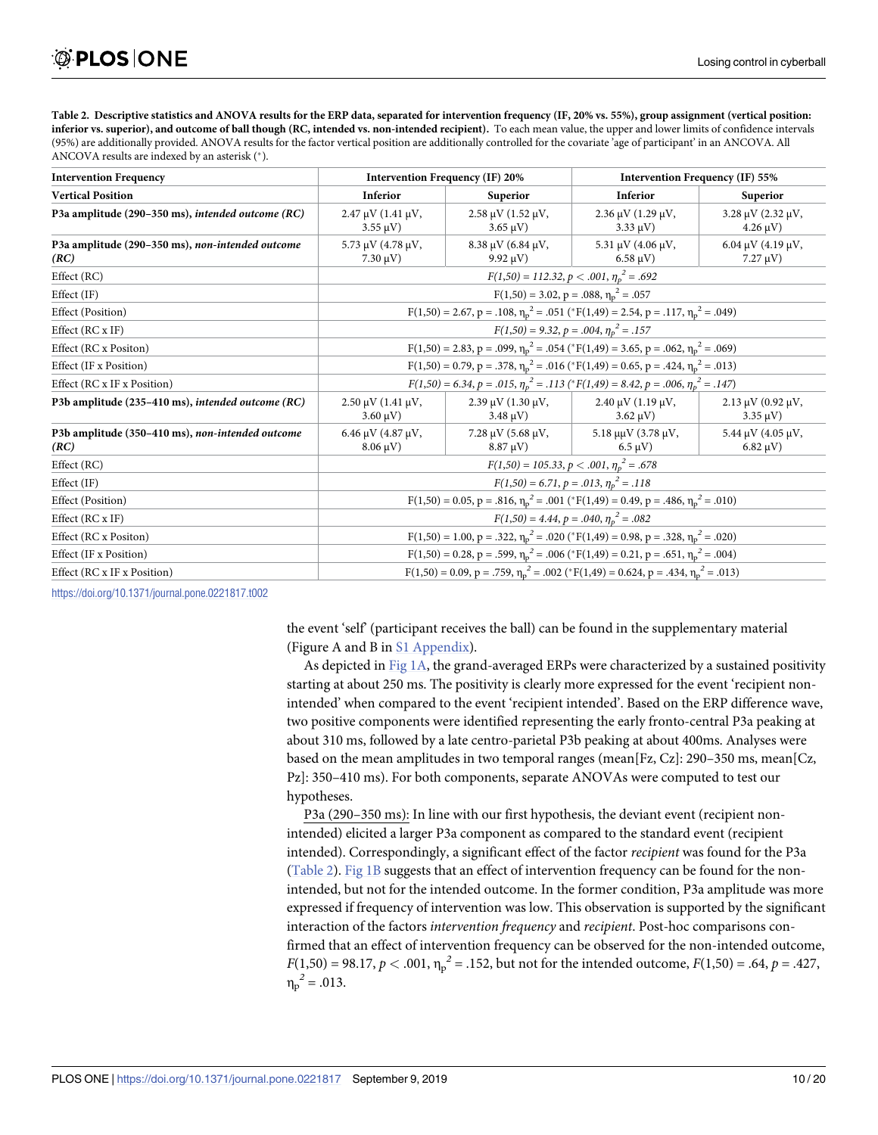<span id="page-9-0"></span>[Table](#page-7-0) 2. Descriptive statistics and ANOVA results for the ERP data, separated for intervention frequency (IF, 20% vs. 55%), group assignment (vertical position: inferior vs. superior), and outcome of ball though (RC, intended vs. non-intended recipient). To each mean value, the upper and lower limits of confidence intervals (95%) are additionally provided. ANOVA results for the factor vertical position are additionally controlled for the covariate 'age of participant' in an ANCOVA. All ANCOVA results are indexed by an asterisk (\*).

| <b>Intervention Frequency</b>                            | <b>Intervention Frequency (IF) 20%</b>                                                                    |                                               | Intervention Frequency (IF) 55%                           |                                               |
|----------------------------------------------------------|-----------------------------------------------------------------------------------------------------------|-----------------------------------------------|-----------------------------------------------------------|-----------------------------------------------|
| <b>Vertical Position</b>                                 | Inferior                                                                                                  | Superior                                      | Inferior                                                  | Superior                                      |
| P3a amplitude (290-350 ms), intended outcome (RC)        | $2.47 \mu V (1.41 \mu V,$<br>$3.55 \mu V$ )                                                               | $2.58 \mu V (1.52 \mu V,$<br>$3.65 \mu V$     | $2.36 \mu V$ (1.29 $\mu V$ ,<br>$3.33 \mu V$ )            | $3.28 \mu V (2.32 \mu V,$<br>$4.26 \mu V$ )   |
| P3a amplitude (290-350 ms), non-intended outcome<br>(RC) | 5.73 $\mu$ V (4.78 $\mu$ V,<br>$7.30 \,\mu V$ )                                                           | $8.38 \mu V$ (6.84 $\mu V$ ,<br>$9.92 \mu V$  | 5.31 $\mu$ V (4.06 $\mu$ V,<br>$6.58 \mu V$ )             | 6.04 $\mu$ V (4.19 $\mu$ V,<br>$7.27 \mu V$ ) |
| Effect (RC)                                              | $F(1,50) = 112.32, p < .001, \eta_p^2 = .692$                                                             |                                               |                                                           |                                               |
| Effect (IF)                                              | $F(1,50) = 3.02$ , $p = .088$ , $\eta_p^2 = .057$                                                         |                                               |                                                           |                                               |
| <b>Effect</b> (Position)                                 | $F(1,50) = 2.67$ , p = .108, $\eta_p^2 = .051$ (* $F(1,49) = 2.54$ , p = .117, $\eta_p^2 = .049$ )        |                                               |                                                           |                                               |
| Effect (RC x IF)                                         | $F(1,50) = 9.32, p = .004, \eta_p^2 = .157$                                                               |                                               |                                                           |                                               |
| Effect (RC x Positon)                                    | $F(1,50) = 2.83$ , p = .099, $\eta_p^2 = .054$ (* $F(1,49) = 3.65$ , p = .062, $\eta_p^2 = .069$ )        |                                               |                                                           |                                               |
| Effect (IF x Position)                                   | $F(1,50) = 0.79$ , p = .378, $\eta_p^2$ = .016 (* $F(1,49) = 0.65$ , p = .424, $\eta_p^2$ = .013)         |                                               |                                                           |                                               |
| Effect (RC x IF x Position)                              | $F(1,50) = 6.34, p = .015, \eta_p^2 = .113$ (* $F(1,49) = 8.42, p = .006, \eta_p^2 = .147$ )              |                                               |                                                           |                                               |
| P3b amplitude (235-410 ms), intended outcome (RC)        | $2.50 \mu V (1.41 \mu V,$<br>$3.60 \,\mathrm{\upmu V}$                                                    | $2.39 \mu V (1.30 \mu V,$<br>$3.48 \mu V$ )   | $2.40 \mu V (1.19 \mu V,$<br>$3.62 \text{ }\mu\text{V}$ ) | $2.13 \mu V (0.92 \mu V,$<br>$3.35 \mu V$ )   |
| P3b amplitude (350-410 ms), non-intended outcome<br>(RC) | 6.46 $\mu$ V (4.87 $\mu$ V,<br>$8.06 \,\mu V$ )                                                           | $7.28 \mu V (5.68 \mu V,$<br>$8.87 \,\mu V$ ) | $5.18 \mu$ μV (3.78 μV,<br>$6.5 \text{ }\mu\text{V}$      | 5.44 µV (4.05 µV,<br>$6.82 \mu V$ )           |
| Effect (RC)                                              | $F(1,50) = 105.33, p < .001, \eta_p^2 = .678$                                                             |                                               |                                                           |                                               |
| Effect (IF)                                              | $F(1,50) = 6.71, p = .013, \eta_p^2 = .118$                                                               |                                               |                                                           |                                               |
| Effect (Position)                                        | $F(1,50) = 0.05$ , p = .816, $\eta_p^2$ = .001 (* $F(1,49) = 0.49$ , p = .486, $\eta_p^2$ = .010)         |                                               |                                                           |                                               |
| Effect (RC x IF)                                         | $F(1,50) = 4.44$ , $p = .040$ , $\eta_p^2 = .082$                                                         |                                               |                                                           |                                               |
| Effect (RC x Positon)                                    | $F(1,50) = 1.00$ , $p = .322$ , $\eta_p^2 = .020$ (* $F(1,49) = 0.98$ , $p = .328$ , $\eta_p^2 = .020$ )  |                                               |                                                           |                                               |
| Effect (IF x Position)                                   | $F(1,50) = 0.28$ , $p = .599$ , $\eta_p^2 = .006$ (* $F(1,49) = 0.21$ , $p = .651$ , $\eta_p^2 = .004$ )  |                                               |                                                           |                                               |
| Effect (RC x IF x Position)                              | $F(1,50) = 0.09$ , $p = .759$ , $\eta_p^2 = .002$ (* $F(1,49) = 0.624$ , $p = .434$ , $\eta_p^2 = .013$ ) |                                               |                                                           |                                               |

<https://doi.org/10.1371/journal.pone.0221817.t002>

the event 'self' (participant receives the ball) can be found in the supplementary material (Figure A and B in S1 [Appendix](#page-15-0)).

As depicted in [Fig](#page-5-0) 1A, the grand-averaged ERPs were characterized by a sustained positivity starting at about 250 ms. The positivity is clearly more expressed for the event 'recipient nonintended' when compared to the event 'recipient intended'. Based on the ERP difference wave, two positive components were identified representing the early fronto-central P3a peaking at about 310 ms, followed by a late centro-parietal P3b peaking at about 400ms. Analyses were based on the mean amplitudes in two temporal ranges (mean  $[Fe, Ce]$ : 290–350 ms, mean  $[Ce$ , Pz]: 350–410 ms). For both components, separate ANOVAs were computed to test our hypotheses.

P3a (290–350 ms): In line with our first hypothesis, the deviant event (recipient nonintended) elicited a larger P3a component as compared to the standard event (recipient intended). Correspondingly, a significant effect of the factor *recipient* was found for the P3a (Table 2). [Fig](#page-5-0) 1B suggests that an effect of intervention frequency can be found for the nonintended, but not for the intended outcome. In the former condition, P3a amplitude was more expressed if frequency of intervention was low. This observation is supported by the significant interaction of the factors *intervention frequency* and *recipient*. Post-hoc comparisons confirmed that an effect of intervention frequency can be observed for the non-intended outcome, *F*(1,50) = 98.17, *p* < .001,  $\eta_p^2$  = .152, but not for the intended outcome, *F*(1,50) = .64, *p* = .427,  $\eta_{\rm p}^2 = .013$ .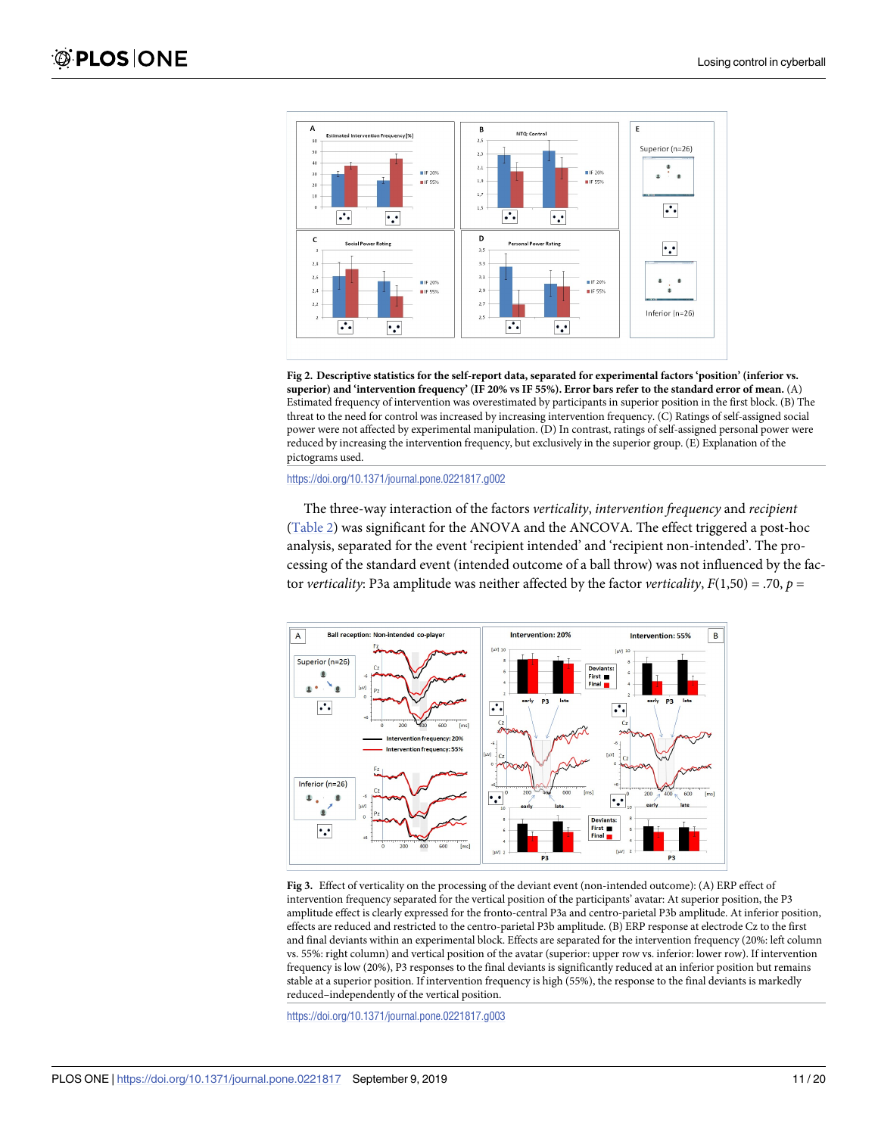<span id="page-10-0"></span>

**[Fig](#page-8-0) 2. Descriptive statistics for the self-report data, separated for experimental factors 'position' (inferior vs.** superior) and 'intervention frequency' (IF 20% vs IF 55%). Error bars refer to the standard error of mean. (A) Estimated frequency of intervention was overestimated by participants in superior position in the first block. (B) The threat to the need for control was increased by increasing intervention frequency. (C) Ratings of self-assigned social power were not affected by experimental manipulation. (D) In contrast, ratings of self-assigned personal power were reduced by increasing the intervention frequency, but exclusively in the superior group. (E) Explanation of the pictograms used.

<https://doi.org/10.1371/journal.pone.0221817.g002>

The three-way interaction of the factors *verticality*, *intervention frequency* and *recipient* [\(Table](#page-9-0) 2) was significant for the ANOVA and the ANCOVA. The effect triggered a post-hoc analysis, separated for the event 'recipient intended' and 'recipient non-intended'. The processing of the standard event (intended outcome of a ball throw) was not influenced by the factor *verticality*: P3a amplitude was neither affected by the factor *verticality*, *F*(1,50) = .70, *p* =



**[Fig](#page-11-0) 3.** Effect of verticality on the processing of the deviant event (non-intended outcome): (A) ERP effect of intervention frequency separated for the vertical position of the participants' avatar: At superior position, the P3 amplitude effect is clearly expressed for the fronto-central P3a and centro-parietal P3b amplitude. At inferior position, effects are reduced and restricted to the centro-parietal P3b amplitude. (B) ERP response at electrode Cz to the first and final deviants within an experimental block. Effects are separated for the intervention frequency (20%: left column vs. 55%: right column) and vertical position of the avatar (superior: upper row vs. inferior: lower row). If intervention frequency is low (20%), P3 responses to the final deviants is significantly reduced at an inferior position but remains stable at a superior position. If intervention frequency is high (55%), the response to the final deviants is markedly reduced–independently of the vertical position.

<https://doi.org/10.1371/journal.pone.0221817.g003>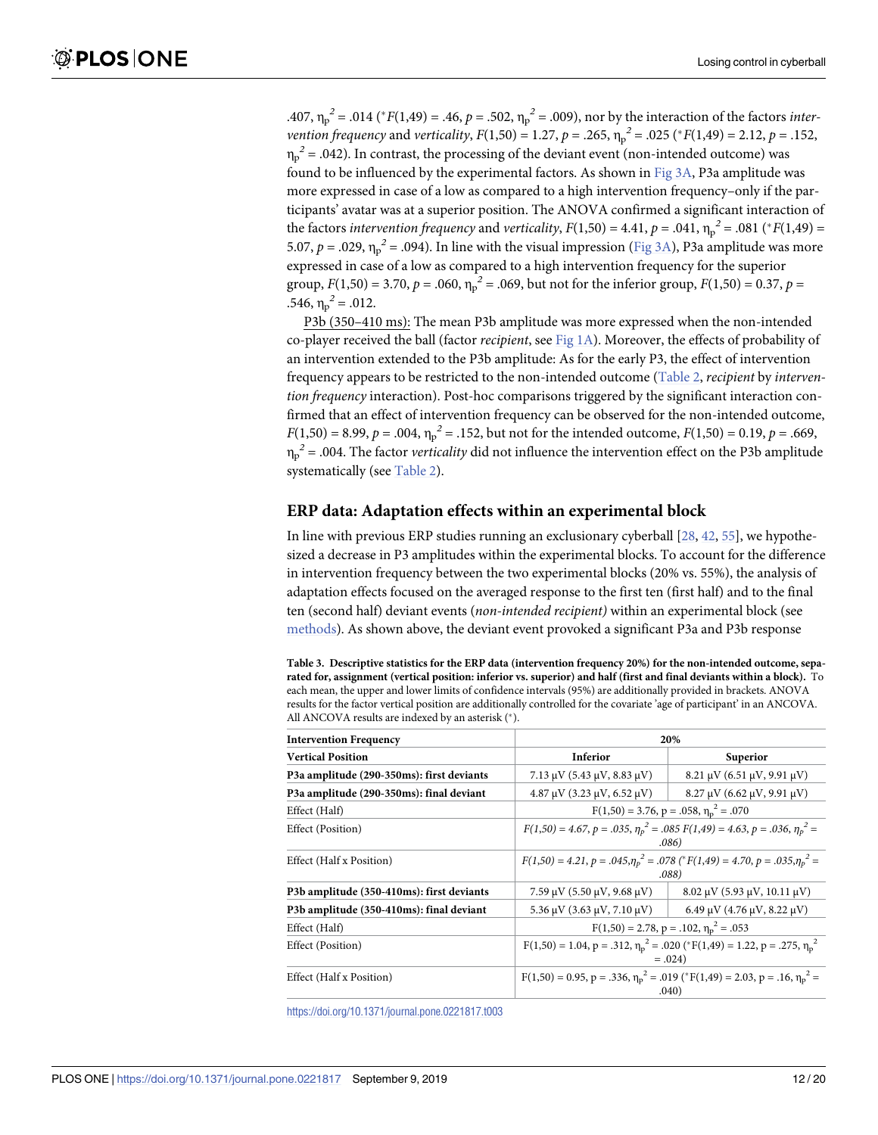<span id="page-11-0"></span>.407,  $\eta_p^2$  = .014 (\*F(1,49) = .46, p = .502,  $\eta_p^2$  = .009), nor by the interaction of the factors *intervention frequency* and *verticality*,  $F(1,50) = 1.27$ ,  $p = .265$ ,  $\eta_p^2 = .025$  ( ${}^*F(1,49) = 2.12$ ,  $p = .152$ ,  $\eta_p^2$  = .042). In contrast, the processing of the deviant event (non-intended outcome) was found to be influenced by the experimental factors. As shown in [Fig](#page-10-0) 3A, P3a amplitude was more expressed in case of a low as compared to a high intervention frequency–only if the participants' avatar was at a superior position. The ANOVA confirmed a significant interaction of the factors *intervention frequency* and *verticality*,  $F(1,50) = 4.41$ ,  $p = .041$ ,  $\eta_p^2 = .081$  (\* $F(1,49) =$ 5.07,  $p = .029$ ,  $\eta_p^2 = .094$ ). In line with the visual impression [\(Fig](#page-10-0) 3A), P3a amplitude was more expressed in case of a low as compared to a high intervention frequency for the superior group,  $F(1,50) = 3.70$ ,  $p = .060$ ,  $\eta_p^2 = .069$ , but not for the inferior group,  $F(1,50) = 0.37$ ,  $p =$  $.546, \eta_p^2 = .012.$ 

P3b (350–410 ms): The mean P3b amplitude was more expressed when the non-intended co-player received the ball (factor *recipient*, see [Fig](#page-5-0) 1A). Moreover, the effects of probability of an intervention extended to the P3b amplitude: As for the early P3, the effect of intervention frequency appears to be restricted to the non-intended outcome [\(Table](#page-9-0) 2, *recipient* by *intervention frequency* interaction). Post-hoc comparisons triggered by the significant interaction confirmed that an effect of intervention frequency can be observed for the non-intended outcome, *F*(1,50) = 8.99, *p* = .004,  $\eta_p^2$  = .152, but not for the intended outcome, *F*(1,50) = 0.19, *p* = .669, ηp *<sup>2</sup>* = .004. The factor *verticality* did not influence the intervention effect on the P3b amplitude systematically (see [Table](#page-9-0) 2).

#### **ERP data: Adaptation effects within an experimental block**

In line with previous ERP studies running an exclusionary cyberball [\[28,](#page-17-0) [42,](#page-18-0) [55\]](#page-19-0), we hypothesized a decrease in P3 amplitudes within the experimental blocks. To account for the difference in intervention frequency between the two experimental blocks (20% vs. 55%), the analysis of adaptation effects focused on the averaged response to the first ten (first half) and to the final ten (second half) deviant events (*non-intended recipient)* within an experimental block (see [methods\)](#page-4-0). As shown above, the deviant event provoked a significant P3a and P3b response

[Table](#page-12-0) 3. Descriptive statistics for the ERP data (intervention frequency 20%) for the non-intended outcome, separated for, assignment (vertical position: inferior vs. superior) and half (first and final deviants within a block). To each mean, the upper and lower limits of confidence intervals (95%) are additionally provided in brackets. ANOVA results for the factor vertical position are additionally controlled for the covariate 'age of participant' in an ANCOVA. All ANCOVA results are indexed by an asterisk (\*).

| <b>Intervention Frequency</b>             | 20%                                                                                                         |                                              |  |
|-------------------------------------------|-------------------------------------------------------------------------------------------------------------|----------------------------------------------|--|
| <b>Vertical Position</b>                  | Inferior                                                                                                    | Superior                                     |  |
| P3a amplitude (290-350ms): first deviants | 7.13 $\mu$ V (5.43 $\mu$ V, 8.83 $\mu$ V)                                                                   | $8.21 \mu V (6.51 \mu V, 9.91 \mu V)$        |  |
| P3a amplitude (290-350ms): final deviant  | $4.87 \mu V (3.23 \mu V, 6.52 \mu V)$                                                                       | $8.27 \mu V (6.62 \mu V, 9.91 \mu V)$        |  |
| Effect (Half)                             | $F(1,50) = 3.76$ , $p = .058$ , $\eta_p^2 = .070$                                                           |                                              |  |
| Effect (Position)                         | $F(1,50) = 4.67$ , $p = .035$ , $\eta_p^2 = .085$ $F(1,49) = 4.63$ , $p = .036$ , $\eta_p^2 =$<br>.086)     |                                              |  |
| Effect (Half x Position)                  | $F(1,50) = 4.21, p = .045, \eta_p^2 = .078$ (* $F(1,49) = 4.70, p = .035, \eta_p^2 =$<br>.088)              |                                              |  |
| P3b amplitude (350-410ms): first deviants | 7.59 $\mu$ V (5.50 $\mu$ V, 9.68 $\mu$ V)                                                                   | $8.02 \mu V$ (5.93 $\mu V$ , 10.11 $\mu V$ ) |  |
| P3b amplitude (350-410ms): final deviant  | $5.36 \mu V$ (3.63 $\mu V$ , 7.10 $\mu V$ )                                                                 | $6.49 \mu V$ (4.76 $\mu V$ , 8.22 $\mu V$ )  |  |
| Effect (Half)                             | $F(1,50) = 2.78$ , $p = .102$ , $\eta_p^2 = .053$                                                           |                                              |  |
| Effect (Position)                         | $F(1,50) = 1.04$ , $p = .312$ , $\eta_p^2 = .020$ (* $F(1,49) = 1.22$ , $p = .275$ , $\eta_p^2$<br>$=.024)$ |                                              |  |
| Effect (Half x Position)                  | $F(1,50) = 0.95$ , p = .336, $\eta_p^2 = .019$ (* $F(1,49) = 2.03$ , p = .16, $\eta_p^2 =$<br>.040)         |                                              |  |

<https://doi.org/10.1371/journal.pone.0221817.t003>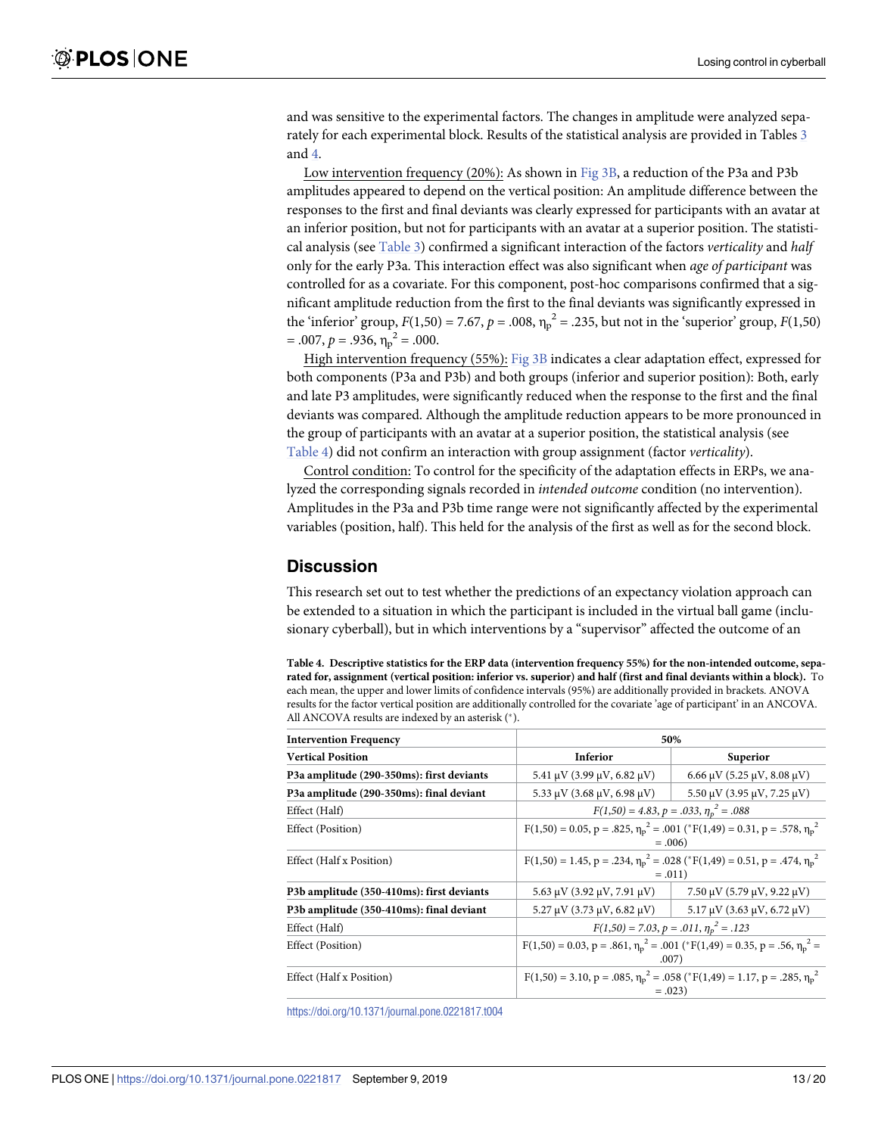<span id="page-12-0"></span>and was sensitive to the experimental factors. The changes in amplitude were analyzed separately for each experimental block. Results of the statistical analysis are provided in Tables [3](#page-11-0) and 4.

Low intervention frequency (20%): As shown in [Fig](#page-10-0) 3B, a reduction of the P3a and P3b amplitudes appeared to depend on the vertical position: An amplitude difference between the responses to the first and final deviants was clearly expressed for participants with an avatar at an inferior position, but not for participants with an avatar at a superior position. The statistical analysis (see [Table](#page-11-0) 3) confirmed a significant interaction of the factors *verticality* and *half* only for the early P3a. This interaction effect was also significant when *age of participant* was controlled for as a covariate. For this component, post-hoc comparisons confirmed that a significant amplitude reduction from the first to the final deviants was significantly expressed in the 'inferior' group,  $F(1,50) = 7.67$ ,  $p = .008$ ,  $\eta_p^2 = .235$ , but not in the 'superior' group,  $F(1,50)$  $= .007, p = .936, \eta_p^2 = .000.$ 

High intervention frequency (55%): [Fig](#page-10-0) 3B indicates a clear adaptation effect, expressed for both components (P3a and P3b) and both groups (inferior and superior position): Both, early and late P3 amplitudes, were significantly reduced when the response to the first and the final deviants was compared. Although the amplitude reduction appears to be more pronounced in the group of participants with an avatar at a superior position, the statistical analysis (see Table 4) did not confirm an interaction with group assignment (factor *verticality*).

Control condition: To control for the specificity of the adaptation effects in ERPs, we analyzed the corresponding signals recorded in *intended outcome* condition (no intervention). Amplitudes in the P3a and P3b time range were not significantly affected by the experimental variables (position, half). This held for the analysis of the first as well as for the second block.

# **Discussion**

This research set out to test whether the predictions of an expectancy violation approach can be extended to a situation in which the participant is included in the virtual ball game (inclusionary cyberball), but in which interventions by a "supervisor" affected the outcome of an

Table 4. Descriptive statistics for the ERP data (intervention frequency 55%) for the non-intended outcome, separated for, assignment (vertical position: inferior vs. superior) and half (first and final deviants within a block). To each mean, the upper and lower limits of confidence intervals (95%) are additionally provided in brackets. ANOVA results for the factor vertical position are additionally controlled for the covariate 'age of participant' in an ANCOVA. All ANCOVA results are indexed by an asterisk (\*).

| <b>Intervention Frequency</b>             | 50%                                                                                                         |                                             |  |
|-------------------------------------------|-------------------------------------------------------------------------------------------------------------|---------------------------------------------|--|
| <b>Vertical Position</b>                  | Inferior                                                                                                    | Superior                                    |  |
| P3a amplitude (290-350ms): first deviants | 5.41 $\mu$ V (3.99 $\mu$ V, 6.82 $\mu$ V)                                                                   | $6.66 \mu V$ (5.25 $\mu V$ , 8.08 $\mu V$ ) |  |
| P3a amplitude (290-350ms): final deviant  | 5.33 $\mu$ V (3.68 $\mu$ V, 6.98 $\mu$ V)                                                                   | $5.50 \mu V$ (3.95 $\mu V$ , 7.25 $\mu V$ ) |  |
| Effect (Half)                             | $F(1,50) = 4.83, p = .033, \eta_p^2 = .088$                                                                 |                                             |  |
| Effect (Position)                         | $F(1,50) = 0.05$ , $p = .825$ , $\eta_p^2 = .001$ (* $F(1,49) = 0.31$ , $p = .578$ , $\eta_p^2$<br>$=.006$  |                                             |  |
| Effect (Half x Position)                  | $F(1,50) = 1.45$ , $p = .234$ , $\eta_p^2 = .028$ (* $F(1,49) = 0.51$ , $p = .474$ , $\eta_p^2$<br>$=.011)$ |                                             |  |
| P3b amplitude (350-410ms): first deviants | $5.63 \mu V$ (3.92 $\mu V$ , 7.91 $\mu V$ )                                                                 | $7.50 \mu V$ (5.79 $\mu V$ , 9.22 $\mu V$ ) |  |
| P3b amplitude (350-410ms): final deviant  | $5.27 \mu V (3.73 \mu V, 6.82 \mu V)$                                                                       | $5.17 \mu V (3.63 \mu V, 6.72 \mu V)$       |  |
| Effect (Half)                             | $F(1,50) = 7.03, p = .011, \eta_p^2 = .123$                                                                 |                                             |  |
| Effect (Position)                         | $F(1,50) = 0.03$ , p = .861, $\eta_p^2 = .001$ (* $F(1,49) = 0.35$ , p = .56, $\eta_p^2 =$<br>.007)         |                                             |  |
| Effect (Half x Position)                  | $F(1,50) = 3.10$ , p = .085, $\eta_p^2 = .058$ (* $F(1,49) = 1.17$ , p = .285, $\eta_p^2$ )<br>$=.023$      |                                             |  |

<https://doi.org/10.1371/journal.pone.0221817.t004>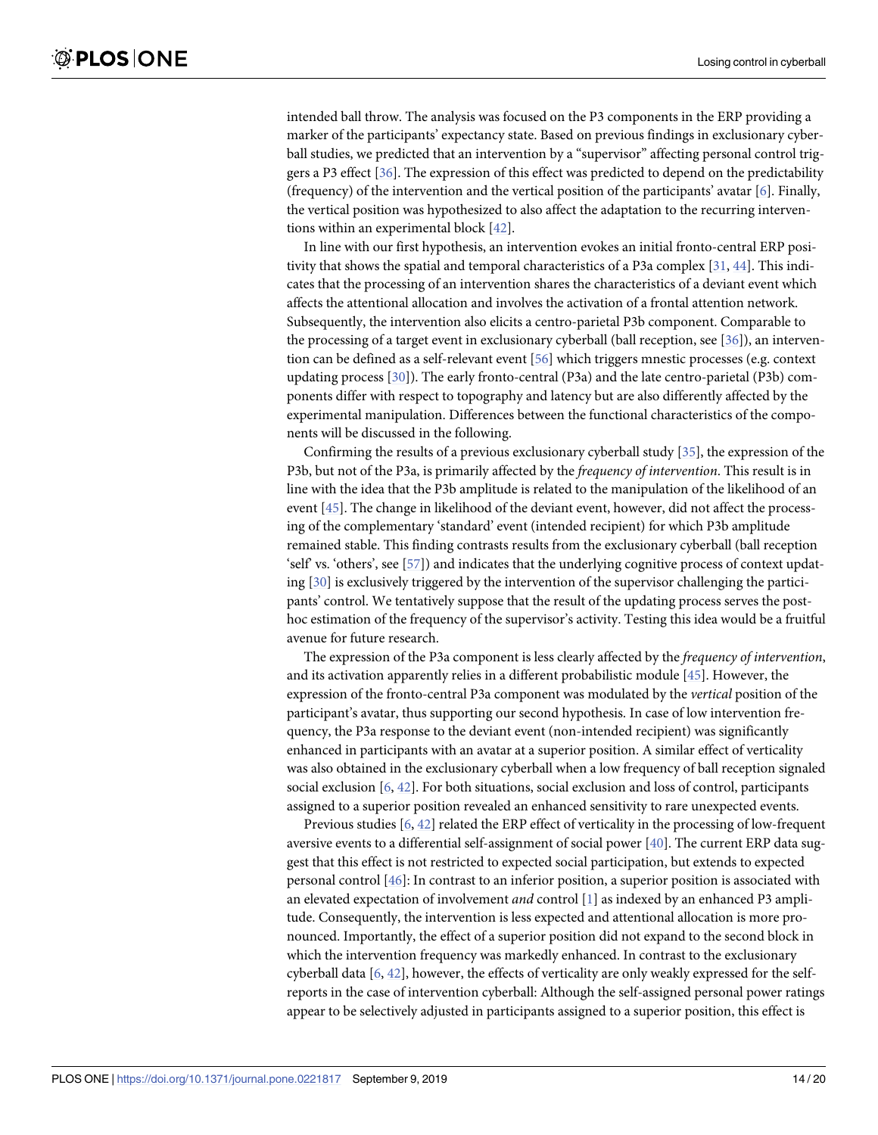<span id="page-13-0"></span>intended ball throw. The analysis was focused on the P3 components in the ERP providing a marker of the participants' expectancy state. Based on previous findings in exclusionary cyberball studies, we predicted that an intervention by a "supervisor" affecting personal control triggers a P3 effect [[36](#page-18-0)]. The expression of this effect was predicted to depend on the predictability (frequency) of the intervention and the vertical position of the participants' avatar [\[6\]](#page-16-0). Finally, the vertical position was hypothesized to also affect the adaptation to the recurring interventions within an experimental block [\[42\]](#page-18-0).

In line with our first hypothesis, an intervention evokes an initial fronto-central ERP positivity that shows the spatial and temporal characteristics of a P3a complex [\[31,](#page-17-0) [44\]](#page-18-0). This indicates that the processing of an intervention shares the characteristics of a deviant event which affects the attentional allocation and involves the activation of a frontal attention network. Subsequently, the intervention also elicits a centro-parietal P3b component. Comparable to the processing of a target event in exclusionary cyberball (ball reception, see [[36](#page-18-0)]), an intervention can be defined as a self-relevant event [\[56\]](#page-19-0) which triggers mnestic processes (e.g. context updating process [\[30\]](#page-17-0)). The early fronto-central (P3a) and the late centro-parietal (P3b) components differ with respect to topography and latency but are also differently affected by the experimental manipulation. Differences between the functional characteristics of the components will be discussed in the following.

Confirming the results of a previous exclusionary cyberball study [[35](#page-17-0)], the expression of the P3b, but not of the P3a, is primarily affected by the *frequency of intervention*. This result is in line with the idea that the P3b amplitude is related to the manipulation of the likelihood of an event [\[45\]](#page-18-0). The change in likelihood of the deviant event, however, did not affect the processing of the complementary 'standard' event (intended recipient) for which P3b amplitude remained stable. This finding contrasts results from the exclusionary cyberball (ball reception 'self' vs. 'others', see [[57](#page-19-0)]) and indicates that the underlying cognitive process of context updating [\[30\]](#page-17-0) is exclusively triggered by the intervention of the supervisor challenging the participants' control. We tentatively suppose that the result of the updating process serves the posthoc estimation of the frequency of the supervisor's activity. Testing this idea would be a fruitful avenue for future research.

The expression of the P3a component is less clearly affected by the *frequency of intervention*, and its activation apparently relies in a different probabilistic module [[45](#page-18-0)]. However, the expression of the fronto-central P3a component was modulated by the *vertical* position of the participant's avatar, thus supporting our second hypothesis. In case of low intervention frequency, the P3a response to the deviant event (non-intended recipient) was significantly enhanced in participants with an avatar at a superior position. A similar effect of verticality was also obtained in the exclusionary cyberball when a low frequency of ball reception signaled social exclusion [[6,](#page-16-0) [42\]](#page-18-0). For both situations, social exclusion and loss of control, participants assigned to a superior position revealed an enhanced sensitivity to rare unexpected events.

Previous studies [\[6,](#page-16-0) [42\]](#page-18-0) related the ERP effect of verticality in the processing of low-frequent aversive events to a differential self-assignment of social power [\[40\]](#page-18-0). The current ERP data suggest that this effect is not restricted to expected social participation, but extends to expected personal control [[46](#page-18-0)]: In contrast to an inferior position, a superior position is associated with an elevated expectation of involvement *and* control [\[1\]](#page-16-0) as indexed by an enhanced P3 amplitude. Consequently, the intervention is less expected and attentional allocation is more pronounced. Importantly, the effect of a superior position did not expand to the second block in which the intervention frequency was markedly enhanced. In contrast to the exclusionary cyberball data [[6,](#page-16-0) [42\]](#page-18-0), however, the effects of verticality are only weakly expressed for the selfreports in the case of intervention cyberball: Although the self-assigned personal power ratings appear to be selectively adjusted in participants assigned to a superior position, this effect is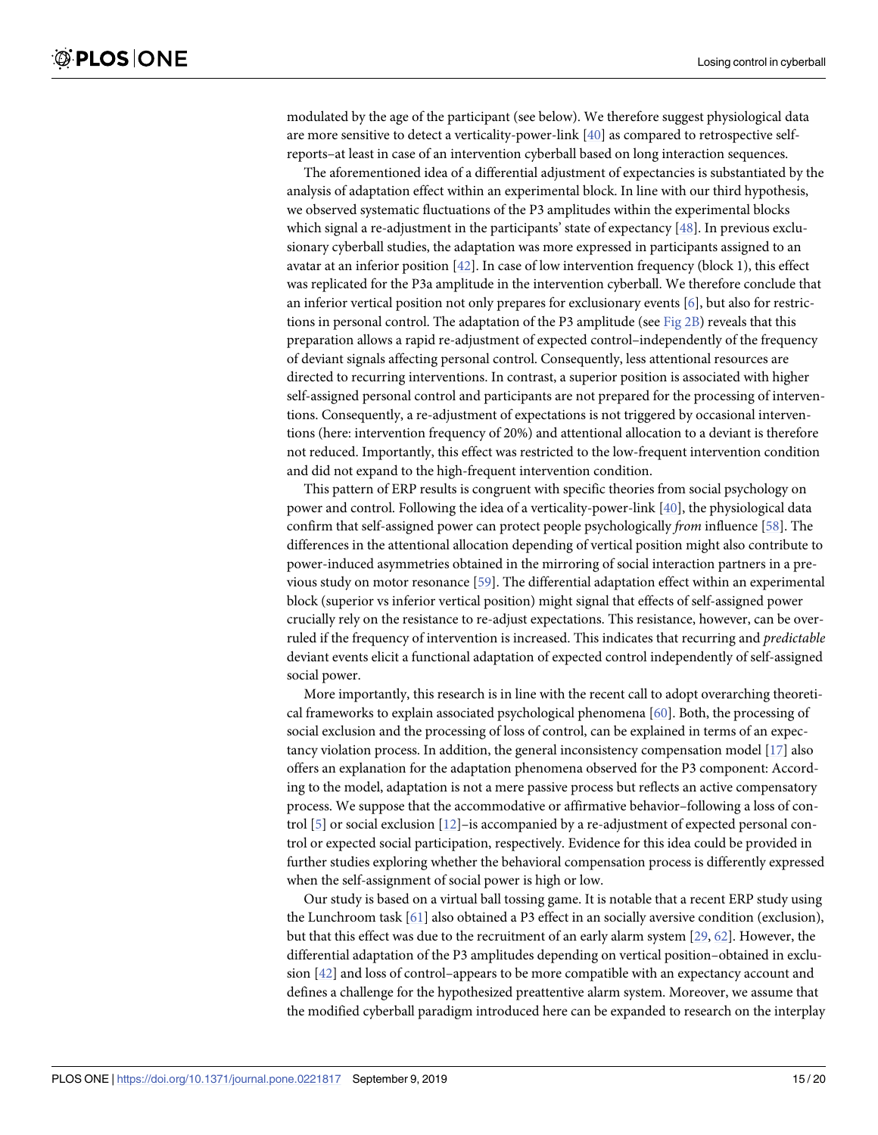<span id="page-14-0"></span>modulated by the age of the participant (see below). We therefore suggest physiological data are more sensitive to detect a verticality-power-link [[40](#page-18-0)] as compared to retrospective selfreports–at least in case of an intervention cyberball based on long interaction sequences.

The aforementioned idea of a differential adjustment of expectancies is substantiated by the analysis of adaptation effect within an experimental block. In line with our third hypothesis, we observed systematic fluctuations of the P3 amplitudes within the experimental blocks which signal a re-adjustment in the participants' state of expectancy [\[48\]](#page-18-0). In previous exclusionary cyberball studies, the adaptation was more expressed in participants assigned to an avatar at an inferior position [\[42](#page-18-0)]. In case of low intervention frequency (block 1), this effect was replicated for the P3a amplitude in the intervention cyberball. We therefore conclude that an inferior vertical position not only prepares for exclusionary events [[6\]](#page-16-0), but also for restric-tions in personal control. The adaptation of the P3 amplitude (see [Fig](#page-10-0)  $2B$ ) reveals that this preparation allows a rapid re-adjustment of expected control–independently of the frequency of deviant signals affecting personal control. Consequently, less attentional resources are directed to recurring interventions. In contrast, a superior position is associated with higher self-assigned personal control and participants are not prepared for the processing of interventions. Consequently, a re-adjustment of expectations is not triggered by occasional interventions (here: intervention frequency of 20%) and attentional allocation to a deviant is therefore not reduced. Importantly, this effect was restricted to the low-frequent intervention condition and did not expand to the high-frequent intervention condition.

This pattern of ERP results is congruent with specific theories from social psychology on power and control. Following the idea of a verticality-power-link [[40](#page-18-0)], the physiological data confirm that self-assigned power can protect people psychologically *from* influence [\[58\]](#page-19-0). The differences in the attentional allocation depending of vertical position might also contribute to power-induced asymmetries obtained in the mirroring of social interaction partners in a previous study on motor resonance [\[59\]](#page-19-0). The differential adaptation effect within an experimental block (superior vs inferior vertical position) might signal that effects of self-assigned power crucially rely on the resistance to re-adjust expectations. This resistance, however, can be overruled if the frequency of intervention is increased. This indicates that recurring and *predictable* deviant events elicit a functional adaptation of expected control independently of self-assigned social power.

More importantly, this research is in line with the recent call to adopt overarching theoretical frameworks to explain associated psychological phenomena [\[60\]](#page-19-0). Both, the processing of social exclusion and the processing of loss of control, can be explained in terms of an expectancy violation process. In addition, the general inconsistency compensation model [[17](#page-17-0)] also offers an explanation for the adaptation phenomena observed for the P3 component: According to the model, adaptation is not a mere passive process but reflects an active compensatory process. We suppose that the accommodative or affirmative behavior–following a loss of control [[5\]](#page-16-0) or social exclusion [\[12\]](#page-16-0)–is accompanied by a re-adjustment of expected personal control or expected social participation, respectively. Evidence for this idea could be provided in further studies exploring whether the behavioral compensation process is differently expressed when the self-assignment of social power is high or low.

Our study is based on a virtual ball tossing game. It is notable that a recent ERP study using the Lunchroom task [\[61\]](#page-19-0) also obtained a P3 effect in an socially aversive condition (exclusion), but that this effect was due to the recruitment of an early alarm system [\[29,](#page-17-0) [62\]](#page-19-0). However, the differential adaptation of the P3 amplitudes depending on vertical position–obtained in exclusion [\[42\]](#page-18-0) and loss of control–appears to be more compatible with an expectancy account and defines a challenge for the hypothesized preattentive alarm system. Moreover, we assume that the modified cyberball paradigm introduced here can be expanded to research on the interplay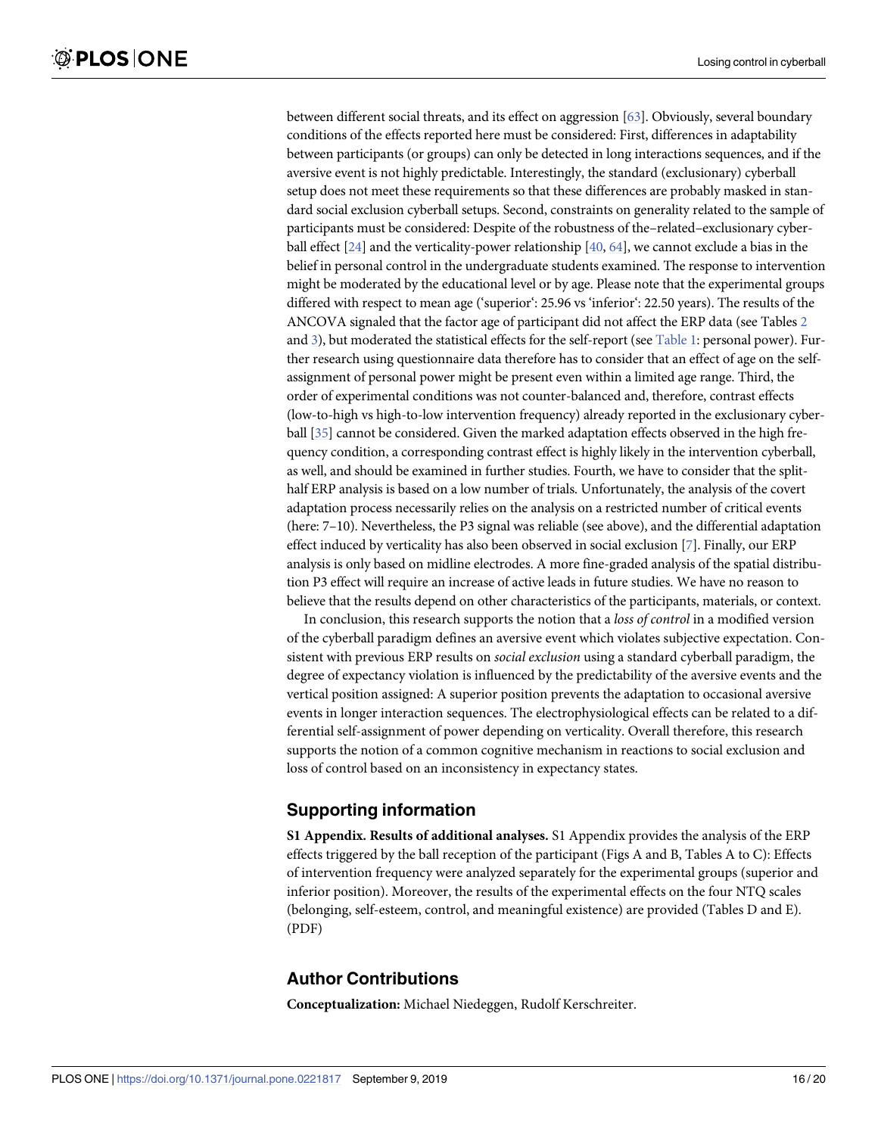<span id="page-15-0"></span>between different social threats, and its effect on aggression [[63\]](#page-19-0). Obviously, several boundary conditions of the effects reported here must be considered: First, differences in adaptability between participants (or groups) can only be detected in long interactions sequences, and if the aversive event is not highly predictable. Interestingly, the standard (exclusionary) cyberball setup does not meet these requirements so that these differences are probably masked in standard social exclusion cyberball setups. Second, constraints on generality related to the sample of participants must be considered: Despite of the robustness of the–related–exclusionary cyberball effect [\[24](#page-17-0)] and the verticality-power relationship [\[40](#page-18-0), [64](#page-19-0)], we cannot exclude a bias in the belief in personal control in the undergraduate students examined. The response to intervention might be moderated by the educational level or by age. Please note that the experimental groups differed with respect to mean age ('superior': 25.96 vs 'inferior': 22.50 years). The results of the ANCOVA signaled that the factor age of participant did not affect the ERP data (see Tables [2](#page-9-0) and [3\)](#page-11-0), but moderated the statistical effects for the self-report (see [Table](#page-8-0) 1: personal power). Further research using questionnaire data therefore has to consider that an effect of age on the selfassignment of personal power might be present even within a limited age range. Third, the order of experimental conditions was not counter-balanced and, therefore, contrast effects (low-to-high vs high-to-low intervention frequency) already reported in the exclusionary cyberball [[35\]](#page-17-0) cannot be considered. Given the marked adaptation effects observed in the high frequency condition, a corresponding contrast effect is highly likely in the intervention cyberball, as well, and should be examined in further studies. Fourth, we have to consider that the splithalf ERP analysis is based on a low number of trials. Unfortunately, the analysis of the covert adaptation process necessarily relies on the analysis on a restricted number of critical events (here: 7–10). Nevertheless, the P3 signal was reliable (see above), and the differential adaptation effect induced by verticality has also been observed in social exclusion [\[7](#page-16-0)]. Finally, our ERP analysis is only based on midline electrodes. A more fine-graded analysis of the spatial distribution P3 effect will require an increase of active leads in future studies. We have no reason to believe that the results depend on other characteristics of the participants, materials, or context.

In conclusion, this research supports the notion that a *loss of control* in a modified version of the cyberball paradigm defines an aversive event which violates subjective expectation. Consistent with previous ERP results on *social exclusion* using a standard cyberball paradigm, the degree of expectancy violation is influenced by the predictability of the aversive events and the vertical position assigned: A superior position prevents the adaptation to occasional aversive events in longer interaction sequences. The electrophysiological effects can be related to a differential self-assignment of power depending on verticality. Overall therefore, this research supports the notion of a common cognitive mechanism in reactions to social exclusion and loss of control based on an inconsistency in expectancy states.

# **Supporting information**

**S1 [Appendix](http://www.plosone.org/article/fetchSingleRepresentation.action?uri=info:doi/10.1371/journal.pone.0221817.s001). Results of additional analyses.** S1 Appendix provides the analysis of the ERP effects triggered by the ball reception of the participant (Figs A and B, Tables A to C): Effects of intervention frequency were analyzed separately for the experimental groups (superior and inferior position). Moreover, the results of the experimental effects on the four NTQ scales (belonging, self-esteem, control, and meaningful existence) are provided (Tables D and E). (PDF)

## **Author Contributions**

**Conceptualization:** Michael Niedeggen, Rudolf Kerschreiter.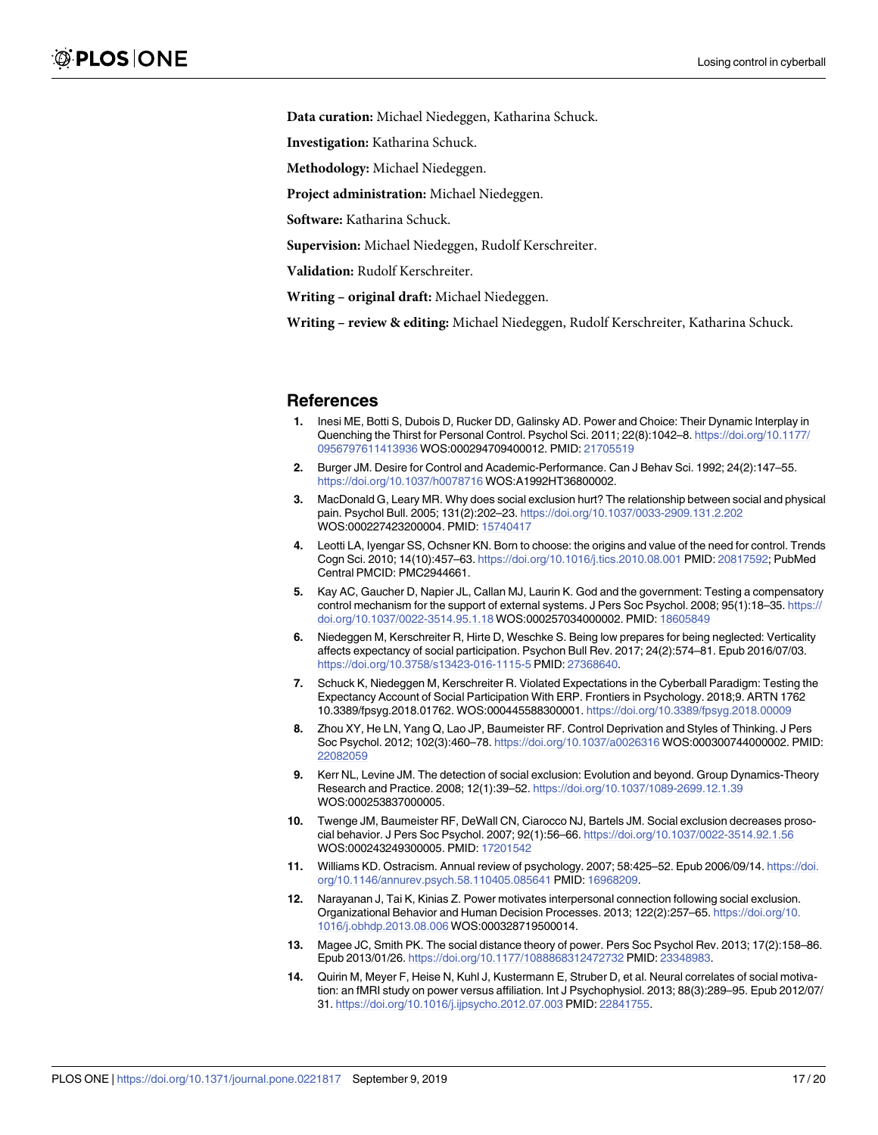<span id="page-16-0"></span>**Data curation:** Michael Niedeggen, Katharina Schuck.

**Investigation:** Katharina Schuck.

**Methodology:** Michael Niedeggen.

**Project administration:** Michael Niedeggen.

**Software:** Katharina Schuck.

**Supervision:** Michael Niedeggen, Rudolf Kerschreiter.

**Validation:** Rudolf Kerschreiter.

**Writing – original draft:** Michael Niedeggen.

**Writing – review & editing:** Michael Niedeggen, Rudolf Kerschreiter, Katharina Schuck.

#### **References**

- **[1](#page-1-0).** Inesi ME, Botti S, Dubois D, Rucker DD, Galinsky AD. Power and Choice: Their Dynamic Interplay in Quenching the Thirst for Personal Control. Psychol Sci. 2011; 22(8):1042–8. [https://doi.org/10.1177/](https://doi.org/10.1177/0956797611413936) [0956797611413936](https://doi.org/10.1177/0956797611413936) WOS:000294709400012. PMID: [21705519](http://www.ncbi.nlm.nih.gov/pubmed/21705519)
- **[2](#page-1-0).** Burger JM. Desire for Control and Academic-Performance. Can J Behav Sci. 1992; 24(2):147–55. <https://doi.org/10.1037/h0078716> WOS:A1992HT36800002.
- **[3](#page-1-0).** MacDonald G, Leary MR. Why does social exclusion hurt? The relationship between social and physical pain. Psychol Bull. 2005; 131(2):202–23. <https://doi.org/10.1037/0033-2909.131.2.202> WOS:000227423200004. PMID: [15740417](http://www.ncbi.nlm.nih.gov/pubmed/15740417)
- **[4](#page-1-0).** Leotti LA, Iyengar SS, Ochsner KN. Born to choose: the origins and value of the need for control. Trends Cogn Sci. 2010; 14(10):457–63. <https://doi.org/10.1016/j.tics.2010.08.001> PMID: [20817592;](http://www.ncbi.nlm.nih.gov/pubmed/20817592) PubMed Central PMCID: PMC2944661.
- **[5](#page-1-0).** Kay AC, Gaucher D, Napier JL, Callan MJ, Laurin K. God and the government: Testing a compensatory control mechanism for the support of external systems. J Pers Soc Psychol. 2008; 95(1):18–35. [https://](https://doi.org/10.1037/0022-3514.95.1.18) [doi.org/10.1037/0022-3514.95.1.18](https://doi.org/10.1037/0022-3514.95.1.18) WOS:000257034000002. PMID: [18605849](http://www.ncbi.nlm.nih.gov/pubmed/18605849)
- **[6](#page-1-0).** Niedeggen M, Kerschreiter R, Hirte D, Weschke S. Being low prepares for being neglected: Verticality affects expectancy of social participation. Psychon Bull Rev. 2017; 24(2):574–81. Epub 2016/07/03. <https://doi.org/10.3758/s13423-016-1115-5> PMID: [27368640.](http://www.ncbi.nlm.nih.gov/pubmed/27368640)
- **[7](#page-1-0).** Schuck K, Niedeggen M, Kerschreiter R. Violated Expectations in the Cyberball Paradigm: Testing the Expectancy Account of Social Participation With ERP. Frontiers in Psychology. 2018;9. ARTN 1762 10.3389/fpsyg.2018.01762. WOS:000445588300001. <https://doi.org/10.3389/fpsyg.2018.00009>
- **[8](#page-1-0).** Zhou XY, He LN, Yang Q, Lao JP, Baumeister RF. Control Deprivation and Styles of Thinking. J Pers Soc Psychol. 2012; 102(3):460–78. <https://doi.org/10.1037/a0026316> WOS:000300744000002. PMID: [22082059](http://www.ncbi.nlm.nih.gov/pubmed/22082059)
- **[9](#page-1-0).** Kerr NL, Levine JM. The detection of social exclusion: Evolution and beyond. Group Dynamics-Theory Research and Practice. 2008; 12(1):39–52. <https://doi.org/10.1037/1089-2699.12.1.39> WOS:000253837000005.
- **[10](#page-1-0).** Twenge JM, Baumeister RF, DeWall CN, Ciarocco NJ, Bartels JM. Social exclusion decreases prosocial behavior. J Pers Soc Psychol. 2007; 92(1):56–66. <https://doi.org/10.1037/0022-3514.92.1.56> WOS:000243249300005. PMID: [17201542](http://www.ncbi.nlm.nih.gov/pubmed/17201542)
- **[11](#page-1-0).** Williams KD. Ostracism. Annual review of psychology. 2007; 58:425–52. Epub 2006/09/14. [https://doi.](https://doi.org/10.1146/annurev.psych.58.110405.085641) [org/10.1146/annurev.psych.58.110405.085641](https://doi.org/10.1146/annurev.psych.58.110405.085641) PMID: [16968209.](http://www.ncbi.nlm.nih.gov/pubmed/16968209)
- **[12](#page-1-0).** Narayanan J, Tai K, Kinias Z. Power motivates interpersonal connection following social exclusion. Organizational Behavior and Human Decision Processes. 2013; 122(2):257–65. [https://doi.org/10.](https://doi.org/10.1016/j.obhdp.2013.08.006) [1016/j.obhdp.2013.08.006](https://doi.org/10.1016/j.obhdp.2013.08.006) WOS:000328719500014.
- **[13](#page-1-0).** Magee JC, Smith PK. The social distance theory of power. Pers Soc Psychol Rev. 2013; 17(2):158–86. Epub 2013/01/26. <https://doi.org/10.1177/1088868312472732> PMID: [23348983.](http://www.ncbi.nlm.nih.gov/pubmed/23348983)
- **[14](#page-1-0).** Quirin M, Meyer F, Heise N, Kuhl J, Kustermann E, Struber D, et al. Neural correlates of social motivation: an fMRI study on power versus affiliation. Int J Psychophysiol. 2013; 88(3):289–95. Epub 2012/07/ 31. <https://doi.org/10.1016/j.ijpsycho.2012.07.003> PMID: [22841755](http://www.ncbi.nlm.nih.gov/pubmed/22841755).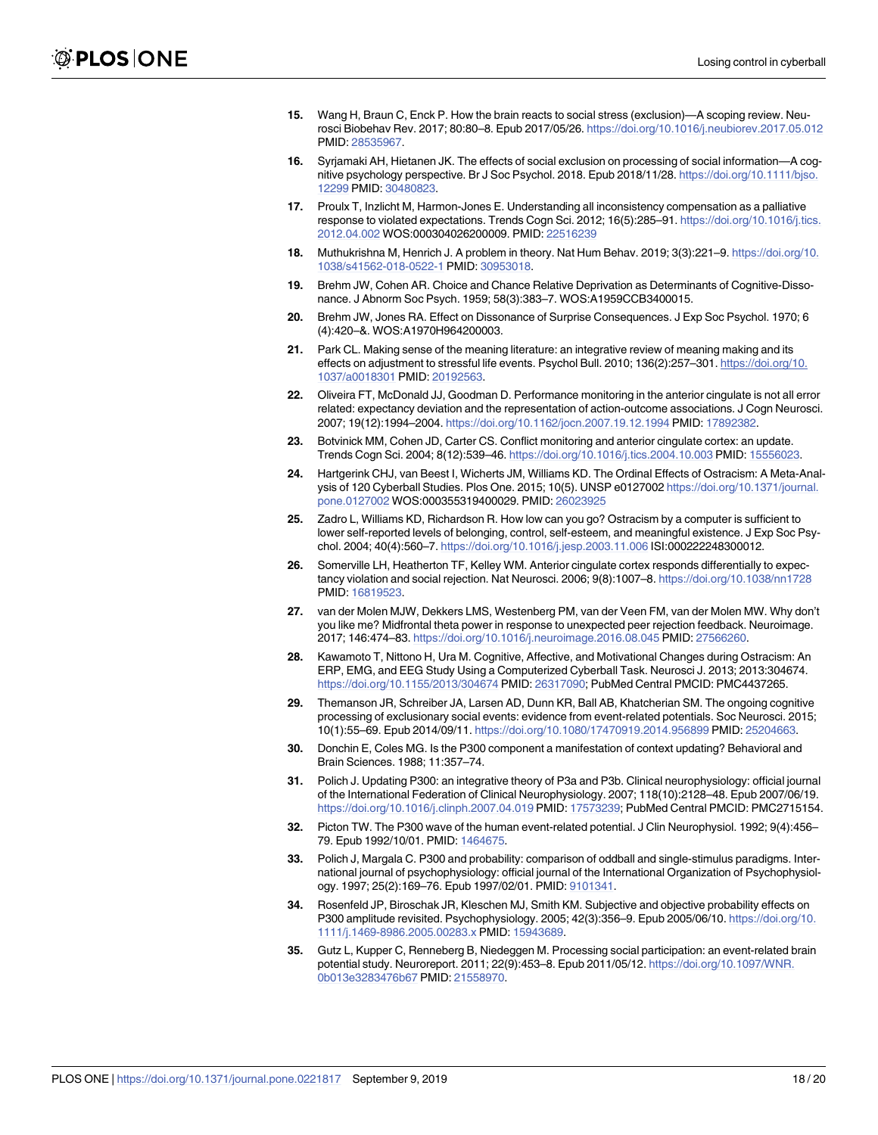- <span id="page-17-0"></span>**[15](#page-1-0).** Wang H, Braun C, Enck P. How the brain reacts to social stress (exclusion)—A scoping review. Neurosci Biobehav Rev. 2017; 80:80–8. Epub 2017/05/26. <https://doi.org/10.1016/j.neubiorev.2017.05.012> PMID: [28535967](http://www.ncbi.nlm.nih.gov/pubmed/28535967).
- **[16](#page-1-0).** Syrjamaki AH, Hietanen JK. The effects of social exclusion on processing of social information—A cognitive psychology perspective. Br J Soc Psychol. 2018. Epub 2018/11/28. [https://doi.org/10.1111/bjso.](https://doi.org/10.1111/bjso.12299) [12299](https://doi.org/10.1111/bjso.12299) PMID: [30480823.](http://www.ncbi.nlm.nih.gov/pubmed/30480823)
- **[17](#page-1-0).** Proulx T, Inzlicht M, Harmon-Jones E. Understanding all inconsistency compensation as a palliative response to violated expectations. Trends Cogn Sci. 2012; 16(5):285–91. [https://doi.org/10.1016/j.tics.](https://doi.org/10.1016/j.tics.2012.04.002) [2012.04.002](https://doi.org/10.1016/j.tics.2012.04.002) WOS:000304026200009. PMID: [22516239](http://www.ncbi.nlm.nih.gov/pubmed/22516239)
- **[18](#page-1-0).** Muthukrishna M, Henrich J. A problem in theory. Nat Hum Behav. 2019; 3(3):221–9. [https://doi.org/10.](https://doi.org/10.1038/s41562-018-0522-1) [1038/s41562-018-0522-1](https://doi.org/10.1038/s41562-018-0522-1) PMID: [30953018](http://www.ncbi.nlm.nih.gov/pubmed/30953018).
- **[19](#page-1-0).** Brehm JW, Cohen AR. Choice and Chance Relative Deprivation as Determinants of Cognitive-Dissonance. J Abnorm Soc Psych. 1959; 58(3):383–7. WOS:A1959CCB3400015.
- **[20](#page-1-0).** Brehm JW, Jones RA. Effect on Dissonance of Surprise Consequences. J Exp Soc Psychol. 1970; 6 (4):420–&. WOS:A1970H964200003.
- **[21](#page-1-0).** Park CL. Making sense of the meaning literature: an integrative review of meaning making and its effects on adjustment to stressful life events. Psychol Bull. 2010; 136(2):257–301. [https://doi.org/10.](https://doi.org/10.1037/a0018301) [1037/a0018301](https://doi.org/10.1037/a0018301) PMID: [20192563](http://www.ncbi.nlm.nih.gov/pubmed/20192563).
- **[22](#page-1-0).** Oliveira FT, McDonald JJ, Goodman D. Performance monitoring in the anterior cingulate is not all error related: expectancy deviation and the representation of action-outcome associations. J Cogn Neurosci. 2007; 19(12):1994–2004. <https://doi.org/10.1162/jocn.2007.19.12.1994> PMID: [17892382](http://www.ncbi.nlm.nih.gov/pubmed/17892382).
- **[23](#page-1-0).** Botvinick MM, Cohen JD, Carter CS. Conflict monitoring and anterior cingulate cortex: an update. Trends Cogn Sci. 2004; 8(12):539–46. <https://doi.org/10.1016/j.tics.2004.10.003> PMID: [15556023.](http://www.ncbi.nlm.nih.gov/pubmed/15556023)
- **[24](#page-1-0).** Hartgerink CHJ, van Beest I, Wicherts JM, Williams KD. The Ordinal Effects of Ostracism: A Meta-Analysis of 120 Cyberball Studies. Plos One. 2015; 10(5). UNSP e0127002 [https://doi.org/10.1371/journal.](https://doi.org/10.1371/journal.pone.0127002) [pone.0127002](https://doi.org/10.1371/journal.pone.0127002) WOS:000355319400029. PMID: [26023925](http://www.ncbi.nlm.nih.gov/pubmed/26023925)
- **[25](#page-1-0).** Zadro L, Williams KD, Richardson R. How low can you go? Ostracism by a computer is sufficient to lower self-reported levels of belonging, control, self-esteem, and meaningful existence. J Exp Soc Psychol. 2004; 40(4):560–7. <https://doi.org/10.1016/j.jesp.2003.11.006> ISI:000222248300012.
- **[26](#page-1-0).** Somerville LH, Heatherton TF, Kelley WM. Anterior cingulate cortex responds differentially to expectancy violation and social rejection. Nat Neurosci. 2006; 9(8):1007–8. <https://doi.org/10.1038/nn1728> PMID: [16819523](http://www.ncbi.nlm.nih.gov/pubmed/16819523).
- **[27](#page-1-0).** van der Molen MJW, Dekkers LMS, Westenberg PM, van der Veen FM, van der Molen MW. Why don't you like me? Midfrontal theta power in response to unexpected peer rejection feedback. Neuroimage. 2017; 146:474–83. <https://doi.org/10.1016/j.neuroimage.2016.08.045> PMID: [27566260](http://www.ncbi.nlm.nih.gov/pubmed/27566260).
- **[28](#page-1-0).** Kawamoto T, Nittono H, Ura M. Cognitive, Affective, and Motivational Changes during Ostracism: An ERP, EMG, and EEG Study Using a Computerized Cyberball Task. Neurosci J. 2013; 2013:304674. <https://doi.org/10.1155/2013/304674> PMID: [26317090](http://www.ncbi.nlm.nih.gov/pubmed/26317090); PubMed Central PMCID: PMC4437265.
- **[29](#page-1-0).** Themanson JR, Schreiber JA, Larsen AD, Dunn KR, Ball AB, Khatcherian SM. The ongoing cognitive processing of exclusionary social events: evidence from event-related potentials. Soc Neurosci. 2015; 10(1):55–69. Epub 2014/09/11. <https://doi.org/10.1080/17470919.2014.956899> PMID: [25204663.](http://www.ncbi.nlm.nih.gov/pubmed/25204663)
- **[30](#page-2-0).** Donchin E, Coles MG. Is the P300 component a manifestation of context updating? Behavioral and Brain Sciences. 1988; 11:357–74.
- **[31](#page-2-0).** Polich J. Updating P300: an integrative theory of P3a and P3b. Clinical neurophysiology: official journal of the International Federation of Clinical Neurophysiology. 2007; 118(10):2128–48. Epub 2007/06/19. <https://doi.org/10.1016/j.clinph.2007.04.019> PMID: [17573239;](http://www.ncbi.nlm.nih.gov/pubmed/17573239) PubMed Central PMCID: PMC2715154.
- **[32](#page-2-0).** Picton TW. The P300 wave of the human event-related potential. J Clin Neurophysiol. 1992; 9(4):456– 79. Epub 1992/10/01. PMID: [1464675.](http://www.ncbi.nlm.nih.gov/pubmed/1464675)
- **[33](#page-2-0).** Polich J, Margala C. P300 and probability: comparison of oddball and single-stimulus paradigms. International journal of psychophysiology: official journal of the International Organization of Psychophysiology. 1997; 25(2):169–76. Epub 1997/02/01. PMID: [9101341.](http://www.ncbi.nlm.nih.gov/pubmed/9101341)
- **[34](#page-2-0).** Rosenfeld JP, Biroschak JR, Kleschen MJ, Smith KM. Subjective and objective probability effects on P300 amplitude revisited. Psychophysiology. 2005; 42(3):356–9. Epub 2005/06/10. [https://doi.org/10.](https://doi.org/10.1111/j.1469-8986.2005.00283.x) [1111/j.1469-8986.2005.00283.x](https://doi.org/10.1111/j.1469-8986.2005.00283.x) PMID: [15943689.](http://www.ncbi.nlm.nih.gov/pubmed/15943689)
- **[35](#page-2-0).** Gutz L, Kupper C, Renneberg B, Niedeggen M. Processing social participation: an event-related brain potential study. Neuroreport. 2011; 22(9):453–8. Epub 2011/05/12. [https://doi.org/10.1097/WNR.](https://doi.org/10.1097/WNR.0b013e3283476b67) [0b013e3283476b67](https://doi.org/10.1097/WNR.0b013e3283476b67) PMID: [21558970.](http://www.ncbi.nlm.nih.gov/pubmed/21558970)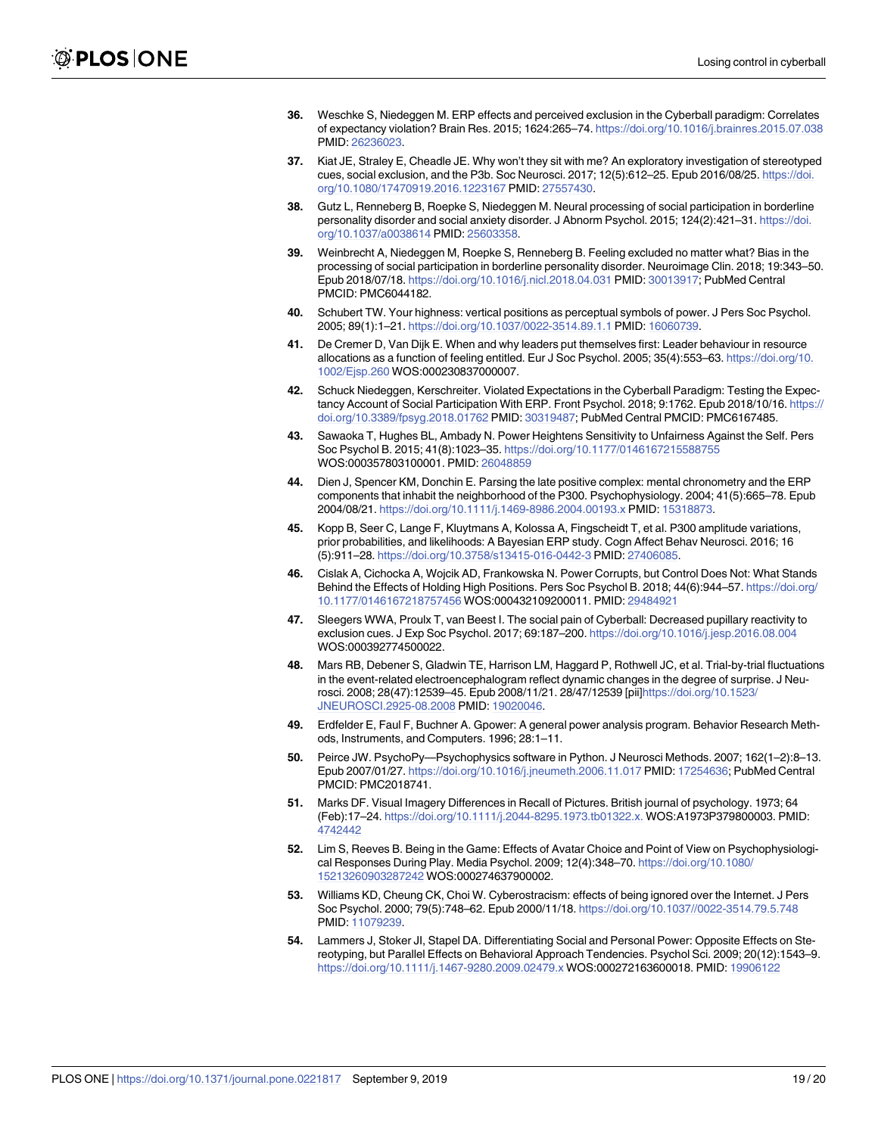- <span id="page-18-0"></span>**[36](#page-2-0).** Weschke S, Niedeggen M. ERP effects and perceived exclusion in the Cyberball paradigm: Correlates of expectancy violation? Brain Res. 2015; 1624:265–74. <https://doi.org/10.1016/j.brainres.2015.07.038> PMID: [26236023](http://www.ncbi.nlm.nih.gov/pubmed/26236023).
- **[37](#page-2-0).** Kiat JE, Straley E, Cheadle JE. Why won't they sit with me? An exploratory investigation of stereotyped cues, social exclusion, and the P3b. Soc Neurosci. 2017; 12(5):612–25. Epub 2016/08/25. [https://doi.](https://doi.org/10.1080/17470919.2016.1223167) [org/10.1080/17470919.2016.1223167](https://doi.org/10.1080/17470919.2016.1223167) PMID: [27557430](http://www.ncbi.nlm.nih.gov/pubmed/27557430).
- **[38](#page-2-0).** Gutz L, Renneberg B, Roepke S, Niedeggen M. Neural processing of social participation in borderline personality disorder and social anxiety disorder. J Abnorm Psychol. 2015; 124(2):421–31. [https://doi.](https://doi.org/10.1037/a0038614) [org/10.1037/a0038614](https://doi.org/10.1037/a0038614) PMID: [25603358.](http://www.ncbi.nlm.nih.gov/pubmed/25603358)
- **[39](#page-2-0).** Weinbrecht A, Niedeggen M, Roepke S, Renneberg B. Feeling excluded no matter what? Bias in the processing of social participation in borderline personality disorder. Neuroimage Clin. 2018; 19:343–50. Epub 2018/07/18. <https://doi.org/10.1016/j.nicl.2018.04.031> PMID: [30013917](http://www.ncbi.nlm.nih.gov/pubmed/30013917); PubMed Central PMCID: PMC6044182.
- **[40](#page-2-0).** Schubert TW. Your highness: vertical positions as perceptual symbols of power. J Pers Soc Psychol. 2005; 89(1):1–21. <https://doi.org/10.1037/0022-3514.89.1.1> PMID: [16060739](http://www.ncbi.nlm.nih.gov/pubmed/16060739).
- **[41](#page-2-0).** De Cremer D, Van Dijk E. When and why leaders put themselves first: Leader behaviour in resource allocations as a function of feeling entitled. Eur J Soc Psychol. 2005; 35(4):553–63. [https://doi.org/10.](https://doi.org/10.1002/Ejsp.260) [1002/Ejsp.260](https://doi.org/10.1002/Ejsp.260) WOS:000230837000007.
- **[42](#page-2-0).** Schuck Niedeggen, Kerschreiter. Violated Expectations in the Cyberball Paradigm: Testing the Expectancy Account of Social Participation With ERP. Front Psychol. 2018; 9:1762. Epub 2018/10/16. [https://](https://doi.org/10.3389/fpsyg.2018.01762) [doi.org/10.3389/fpsyg.2018.01762](https://doi.org/10.3389/fpsyg.2018.01762) PMID: [30319487](http://www.ncbi.nlm.nih.gov/pubmed/30319487); PubMed Central PMCID: PMC6167485.
- **[43](#page-2-0).** Sawaoka T, Hughes BL, Ambady N. Power Heightens Sensitivity to Unfairness Against the Self. Pers Soc Psychol B. 2015; 41(8):1023–35. <https://doi.org/10.1177/0146167215588755> WOS:000357803100001. PMID: [26048859](http://www.ncbi.nlm.nih.gov/pubmed/26048859)
- **[44](#page-3-0).** Dien J, Spencer KM, Donchin E. Parsing the late positive complex: mental chronometry and the ERP components that inhabit the neighborhood of the P300. Psychophysiology. 2004; 41(5):665–78. Epub 2004/08/21. <https://doi.org/10.1111/j.1469-8986.2004.00193.x> PMID: [15318873.](http://www.ncbi.nlm.nih.gov/pubmed/15318873)
- **[45](#page-3-0).** Kopp B, Seer C, Lange F, Kluytmans A, Kolossa A, Fingscheidt T, et al. P300 amplitude variations, prior probabilities, and likelihoods: A Bayesian ERP study. Cogn Affect Behav Neurosci. 2016; 16 (5):911–28. <https://doi.org/10.3758/s13415-016-0442-3> PMID: [27406085.](http://www.ncbi.nlm.nih.gov/pubmed/27406085)
- **[46](#page-3-0).** Cislak A, Cichocka A, Wojcik AD, Frankowska N. Power Corrupts, but Control Does Not: What Stands Behind the Effects of Holding High Positions. Pers Soc Psychol B. 2018; 44(6):944–57. [https://doi.org/](https://doi.org/10.1177/0146167218757456) [10.1177/0146167218757456](https://doi.org/10.1177/0146167218757456) WOS:000432109200011. PMID: [29484921](http://www.ncbi.nlm.nih.gov/pubmed/29484921)
- **[47](#page-3-0).** Sleegers WWA, Proulx T, van Beest I. The social pain of Cyberball: Decreased pupillary reactivity to exclusion cues. J Exp Soc Psychol. 2017; 69:187–200. <https://doi.org/10.1016/j.jesp.2016.08.004> WOS:000392774500022.
- **[48](#page-3-0).** Mars RB, Debener S, Gladwin TE, Harrison LM, Haggard P, Rothwell JC, et al. Trial-by-trial fluctuations in the event-related electroencephalogram reflect dynamic changes in the degree of surprise. J Neurosci. 2008; 28(47):12539–45. Epub 2008/11/21. 28/47/12539 [pii[\]https://doi.org/10.1523/](https://doi.org/10.1523/JNEUROSCI.2925-08.2008) [JNEUROSCI.2925-08.2008](https://doi.org/10.1523/JNEUROSCI.2925-08.2008) PMID: [19020046](http://www.ncbi.nlm.nih.gov/pubmed/19020046).
- **[49](#page-4-0).** Erdfelder E, Faul F, Buchner A. Gpower: A general power analysis program. Behavior Research Methods, Instruments, and Computers. 1996; 28:1–11.
- **[50](#page-4-0).** Peirce JW. PsychoPy—Psychophysics software in Python. J Neurosci Methods. 2007; 162(1–2):8–13. Epub 2007/01/27. <https://doi.org/10.1016/j.jneumeth.2006.11.017> PMID: [17254636;](http://www.ncbi.nlm.nih.gov/pubmed/17254636) PubMed Central PMCID: PMC2018741.
- **[51](#page-4-0).** Marks DF. Visual Imagery Differences in Recall of Pictures. British journal of psychology. 1973; 64 (Feb):17–24. <https://doi.org/10.1111/j.2044-8295.1973.tb01322.x.> WOS:A1973P379800003. PMID: [4742442](http://www.ncbi.nlm.nih.gov/pubmed/4742442)
- **[52](#page-4-0).** Lim S, Reeves B. Being in the Game: Effects of Avatar Choice and Point of View on Psychophysiological Responses During Play. Media Psychol. 2009; 12(4):348–70. [https://doi.org/10.1080/](https://doi.org/10.1080/15213260903287242) [15213260903287242](https://doi.org/10.1080/15213260903287242) WOS:000274637900002.
- **[53](#page-5-0).** Williams KD, Cheung CK, Choi W. Cyberostracism: effects of being ignored over the Internet. J Pers Soc Psychol. 2000; 79(5):748–62. Epub 2000/11/18. <https://doi.org/10.1037//0022-3514.79.5.748> PMID: [11079239](http://www.ncbi.nlm.nih.gov/pubmed/11079239).
- **[54](#page-5-0).** Lammers J, Stoker JI, Stapel DA. Differentiating Social and Personal Power: Opposite Effects on Stereotyping, but Parallel Effects on Behavioral Approach Tendencies. Psychol Sci. 2009; 20(12):1543–9. <https://doi.org/10.1111/j.1467-9280.2009.02479.x> WOS:000272163600018. PMID: [19906122](http://www.ncbi.nlm.nih.gov/pubmed/19906122)